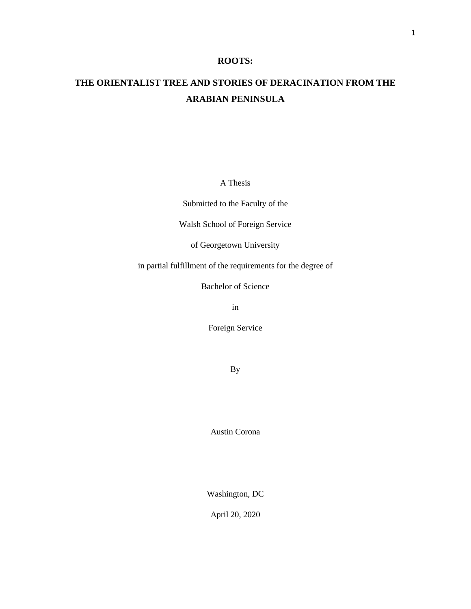## **ROOTS:**

# **THE ORIENTALIST TREE AND STORIES OF DERACINATION FROM THE ARABIAN PENINSULA**

A Thesis

Submitted to the Faculty of the

Walsh School of Foreign Service

of Georgetown University

in partial fulfillment of the requirements for the degree of

Bachelor of Science

in

Foreign Service

By

Austin Corona

Washington, DC

April 20, 2020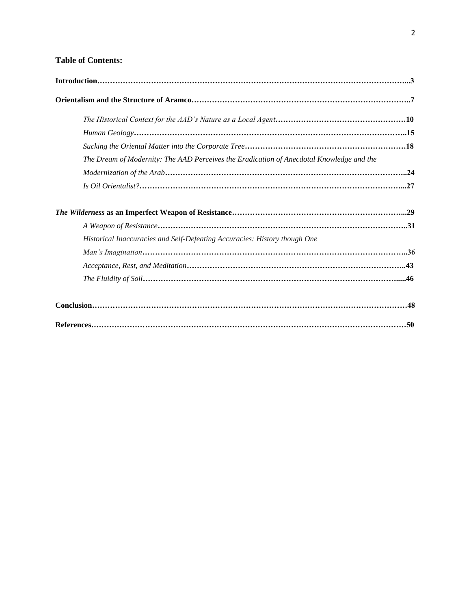## **Table of Contents:**

| The Dream of Modernity: The AAD Perceives the Eradication of Anecdotal Knowledge and the |  |
|------------------------------------------------------------------------------------------|--|
|                                                                                          |  |
|                                                                                          |  |
|                                                                                          |  |
|                                                                                          |  |
| Historical Inaccuracies and Self-Defeating Accuracies: History though One                |  |
|                                                                                          |  |
|                                                                                          |  |
|                                                                                          |  |
|                                                                                          |  |
|                                                                                          |  |
|                                                                                          |  |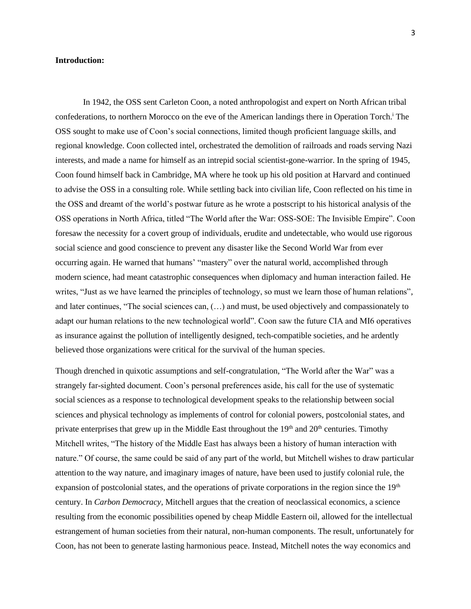## **Introduction:**

In 1942, the OSS sent Carleton Coon, a noted anthropologist and expert on North African tribal confederations, to northern Morocco on the eve of the American landings there in Operation Torch. <sup>i</sup> The OSS sought to make use of Coon's social connections, limited though proficient language skills, and regional knowledge. Coon collected intel, orchestrated the demolition of railroads and roads serving Nazi interests, and made a name for himself as an intrepid social scientist-gone-warrior. In the spring of 1945, Coon found himself back in Cambridge, MA where he took up his old position at Harvard and continued to advise the OSS in a consulting role. While settling back into civilian life, Coon reflected on his time in the OSS and dreamt of the world's postwar future as he wrote a postscript to his historical analysis of the OSS operations in North Africa, titled "The World after the War: OSS-SOE: The Invisible Empire". Coon foresaw the necessity for a covert group of individuals, erudite and undetectable, who would use rigorous social science and good conscience to prevent any disaster like the Second World War from ever occurring again. He warned that humans' "mastery" over the natural world, accomplished through modern science, had meant catastrophic consequences when diplomacy and human interaction failed. He writes, "Just as we have learned the principles of technology, so must we learn those of human relations", and later continues, "The social sciences can, (…) and must, be used objectively and compassionately to adapt our human relations to the new technological world". Coon saw the future CIA and MI6 operatives as insurance against the pollution of intelligently designed, tech-compatible societies, and he ardently believed those organizations were critical for the survival of the human species.

Though drenched in quixotic assumptions and self-congratulation, "The World after the War" was a strangely far-sighted document. Coon's personal preferences aside, his call for the use of systematic social sciences as a response to technological development speaks to the relationship between social sciences and physical technology as implements of control for colonial powers, postcolonial states, and private enterprises that grew up in the Middle East throughout the  $19<sup>th</sup>$  and  $20<sup>th</sup>$  centuries. Timothy Mitchell writes, "The history of the Middle East has always been a history of human interaction with nature." Of course, the same could be said of any part of the world, but Mitchell wishes to draw particular attention to the way nature, and imaginary images of nature, have been used to justify colonial rule, the expansion of postcolonial states, and the operations of private corporations in the region since the  $19<sup>th</sup>$ century. In *Carbon Democracy,* Mitchell argues that the creation of neoclassical economics, a science resulting from the economic possibilities opened by cheap Middle Eastern oil, allowed for the intellectual estrangement of human societies from their natural, non-human components. The result, unfortunately for Coon, has not been to generate lasting harmonious peace. Instead, Mitchell notes the way economics and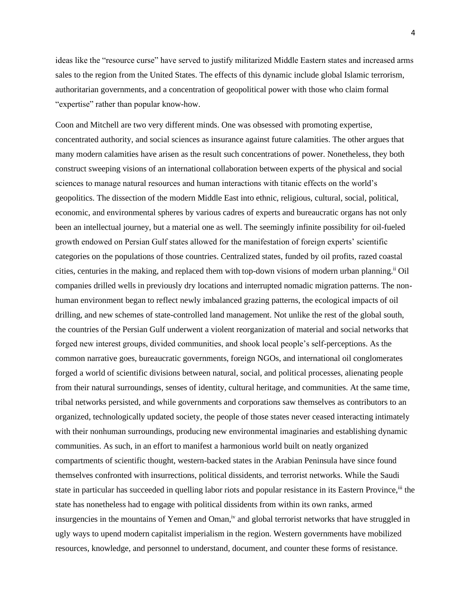ideas like the "resource curse" have served to justify militarized Middle Eastern states and increased arms sales to the region from the United States. The effects of this dynamic include global Islamic terrorism, authoritarian governments, and a concentration of geopolitical power with those who claim formal "expertise" rather than popular know-how.

Coon and Mitchell are two very different minds. One was obsessed with promoting expertise, concentrated authority, and social sciences as insurance against future calamities. The other argues that many modern calamities have arisen as the result such concentrations of power. Nonetheless, they both construct sweeping visions of an international collaboration between experts of the physical and social sciences to manage natural resources and human interactions with titanic effects on the world's geopolitics. The dissection of the modern Middle East into ethnic, religious, cultural, social, political, economic, and environmental spheres by various cadres of experts and bureaucratic organs has not only been an intellectual journey, but a material one as well. The seemingly infinite possibility for oil-fueled growth endowed on Persian Gulf states allowed for the manifestation of foreign experts' scientific categories on the populations of those countries. Centralized states, funded by oil profits, razed coastal cities, centuries in the making, and replaced them with top-down visions of modern urban planning.ii Oil companies drilled wells in previously dry locations and interrupted nomadic migration patterns. The nonhuman environment began to reflect newly imbalanced grazing patterns, the ecological impacts of oil drilling, and new schemes of state-controlled land management. Not unlike the rest of the global south, the countries of the Persian Gulf underwent a violent reorganization of material and social networks that forged new interest groups, divided communities, and shook local people's self-perceptions. As the common narrative goes, bureaucratic governments, foreign NGOs, and international oil conglomerates forged a world of scientific divisions between natural, social, and political processes, alienating people from their natural surroundings, senses of identity, cultural heritage, and communities. At the same time, tribal networks persisted, and while governments and corporations saw themselves as contributors to an organized, technologically updated society, the people of those states never ceased interacting intimately with their nonhuman surroundings, producing new environmental imaginaries and establishing dynamic communities. As such, in an effort to manifest a harmonious world built on neatly organized compartments of scientific thought, western-backed states in the Arabian Peninsula have since found themselves confronted with insurrections, political dissidents, and terrorist networks. While the Saudi state in particular has succeeded in quelling labor riots and popular resistance in its Eastern Province,<sup>iii</sup> the state has nonetheless had to engage with political dissidents from within its own ranks, armed insurgencies in the mountains of Yemen and Oman,<sup>iv</sup> and global terrorist networks that have struggled in ugly ways to upend modern capitalist imperialism in the region. Western governments have mobilized resources, knowledge, and personnel to understand, document, and counter these forms of resistance.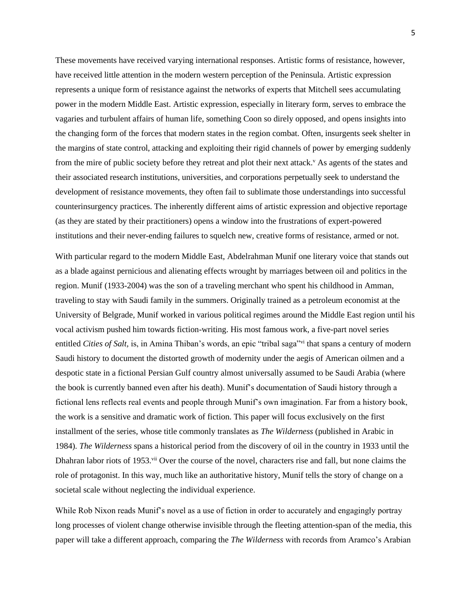These movements have received varying international responses. Artistic forms of resistance, however, have received little attention in the modern western perception of the Peninsula. Artistic expression represents a unique form of resistance against the networks of experts that Mitchell sees accumulating power in the modern Middle East. Artistic expression, especially in literary form, serves to embrace the vagaries and turbulent affairs of human life, something Coon so direly opposed, and opens insights into the changing form of the forces that modern states in the region combat. Often, insurgents seek shelter in the margins of state control, attacking and exploiting their rigid channels of power by emerging suddenly from the mire of public society before they retreat and plot their next attack.<sup>v</sup> As agents of the states and their associated research institutions, universities, and corporations perpetually seek to understand the development of resistance movements, they often fail to sublimate those understandings into successful counterinsurgency practices. The inherently different aims of artistic expression and objective reportage (as they are stated by their practitioners) opens a window into the frustrations of expert-powered institutions and their never-ending failures to squelch new, creative forms of resistance, armed or not.

With particular regard to the modern Middle East, Abdelrahman Munif one literary voice that stands out as a blade against pernicious and alienating effects wrought by marriages between oil and politics in the region. Munif (1933-2004) was the son of a traveling merchant who spent his childhood in Amman, traveling to stay with Saudi family in the summers. Originally trained as a petroleum economist at the University of Belgrade, Munif worked in various political regimes around the Middle East region until his vocal activism pushed him towards fiction-writing. His most famous work, a five-part novel series entitled *Cities of Salt*, is, in Amina Thiban's words, an epic "tribal saga"<sup>vi</sup> that spans a century of modern Saudi history to document the distorted growth of modernity under the aegis of American oilmen and a despotic state in a fictional Persian Gulf country almost universally assumed to be Saudi Arabia (where the book is currently banned even after his death). Munif's documentation of Saudi history through a fictional lens reflects real events and people through Munif's own imagination. Far from a history book, the work is a sensitive and dramatic work of fiction. This paper will focus exclusively on the first installment of the series, whose title commonly translates as *The Wilderness* (published in Arabic in 1984)*. The Wilderness* spans a historical period from the discovery of oil in the country in 1933 until the Dhahran labor riots of 1953.<sup>vii</sup> Over the course of the novel, characters rise and fall, but none claims the role of protagonist. In this way, much like an authoritative history, Munif tells the story of change on a societal scale without neglecting the individual experience.

While Rob Nixon reads Munif's novel as a use of fiction in order to accurately and engagingly portray long processes of violent change otherwise invisible through the fleeting attention-span of the media, this paper will take a different approach, comparing the *The Wilderness* with records from Aramco's Arabian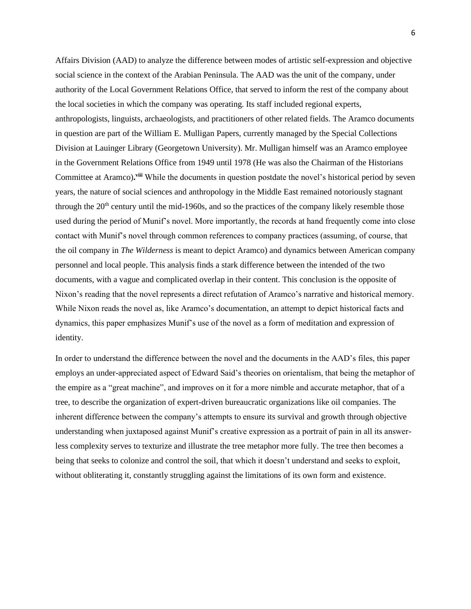Affairs Division (AAD) to analyze the difference between modes of artistic self-expression and objective social science in the context of the Arabian Peninsula. The AAD was the unit of the company, under authority of the Local Government Relations Office, that served to inform the rest of the company about the local societies in which the company was operating. Its staff included regional experts, anthropologists, linguists, archaeologists, and practitioners of other related fields. The Aramco documents in question are part of the William E. Mulligan Papers, currently managed by the Special Collections Division at Lauinger Library (Georgetown University). Mr. Mulligan himself was an Aramco employee in the Government Relations Office from 1949 until 1978 (He was also the Chairman of the Historians Committee at Aramco).<sup>viii</sup> While the documents in question postdate the novel's historical period by seven years, the nature of social sciences and anthropology in the Middle East remained notoriously stagnant through the  $20<sup>th</sup>$  century until the mid-1960s, and so the practices of the company likely resemble those used during the period of Munif's novel. More importantly, the records at hand frequently come into close contact with Munif's novel through common references to company practices (assuming, of course, that the oil company in *The Wilderness* is meant to depict Aramco) and dynamics between American company personnel and local people. This analysis finds a stark difference between the intended of the two documents, with a vague and complicated overlap in their content. This conclusion is the opposite of Nixon's reading that the novel represents a direct refutation of Aramco's narrative and historical memory. While Nixon reads the novel as, like Aramco's documentation, an attempt to depict historical facts and dynamics, this paper emphasizes Munif's use of the novel as a form of meditation and expression of identity.

In order to understand the difference between the novel and the documents in the AAD's files, this paper employs an under-appreciated aspect of Edward Said's theories on orientalism, that being the metaphor of the empire as a "great machine", and improves on it for a more nimble and accurate metaphor, that of a tree, to describe the organization of expert-driven bureaucratic organizations like oil companies. The inherent difference between the company's attempts to ensure its survival and growth through objective understanding when juxtaposed against Munif's creative expression as a portrait of pain in all its answerless complexity serves to texturize and illustrate the tree metaphor more fully. The tree then becomes a being that seeks to colonize and control the soil, that which it doesn't understand and seeks to exploit, without obliterating it, constantly struggling against the limitations of its own form and existence.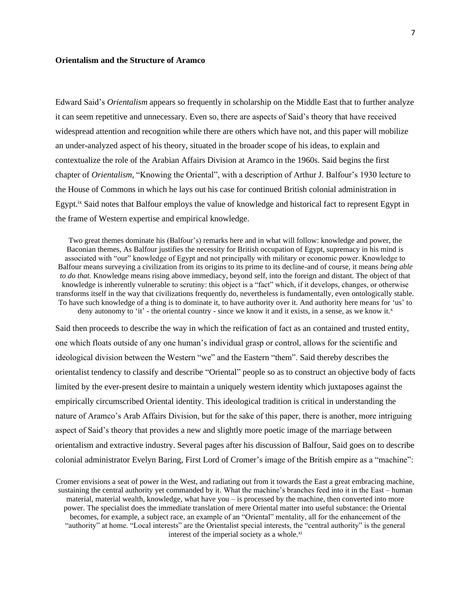## **Orientalism and the Structure of Aramco**

Edward Said's *Orientalism* appears so frequently in scholarship on the Middle East that to further analyze it can seem repetitive and unnecessary. Even so, there are aspects of Said's theory that have received widespread attention and recognition while there are others which have not, and this paper will mobilize an under-analyzed aspect of his theory, situated in the broader scope of his ideas, to explain and contextualize the role of the Arabian Affairs Division at Aramco in the 1960s. Said begins the first chapter of *Orientalism,* "Knowing the Oriental", with a description of Arthur J. Balfour's 1930 lecture to the House of Commons in which he lays out his case for continued British colonial administration in Egypt.ix Said notes that Balfour employs the value of knowledge and historical fact to represent Egypt in the frame of Western expertise and empirical knowledge.

Two great themes dominate his (Balfour's) remarks here and in what will follow: knowledge and power, the Baconian themes, As Balfour justifies the necessity for British occupation of Egypt, supremacy in his mind is associated with "our" knowledge of Egypt and not principally with military or economic power. Knowledge to Balfour means surveying a civilization from its origins to its prime to its decline-and of course, it means *being able to do that.* Knowledge means rising above immediacy, beyond self, into the foreign and distant. The object of that knowledge is inherently vulnerable to scrutiny: this object is a "fact" which, if it develops, changes, or otherwise transforms itself in the way that civilizations frequently do, nevertheless is fundamentally, even ontologically stable. To have such knowledge of a thing is to dominate it, to have authority over it. And authority here means for 'us' to deny autonomy to 'it' - the oriental country - since we know it and it exists, in a sense, as we know it.<sup>x</sup>

Said then proceeds to describe the way in which the reification of fact as an contained and trusted entity, one which floats outside of any one human's individual grasp or control, allows for the scientific and ideological division between the Western "we" and the Eastern "them". Said thereby describes the orientalist tendency to classify and describe "Oriental" people so as to construct an objective body of facts limited by the ever-present desire to maintain a uniquely western identity which juxtaposes against the empirically circumscribed Oriental identity. This ideological tradition is critical in understanding the nature of Aramco's Arab Affairs Division, but for the sake of this paper, there is another, more intriguing aspect of Said's theory that provides a new and slightly more poetic image of the marriage between orientalism and extractive industry. Several pages after his discussion of Balfour, Said goes on to describe colonial administrator Evelyn Baring, First Lord of Cromer's image of the British empire as a "machine":

Cromer envisions a seat of power in the West, and radiating out from it towards the East a great embracing machine, sustaining the central authority yet commanded by it. What the machine's branches feed into it in the East – human material, material wealth, knowledge, what have you – is processed by the machine, then converted into more power. The specialist does the immediate translation of mere Oriental matter into useful substance: the Oriental becomes, for example, a subject race, an example of an "Oriental" mentality, all for the enhancement of the "authority" at home. "Local interests" are the Orientalist special interests, the "central authority" is the general interest of the imperial society as a whole.<sup>xi</sup>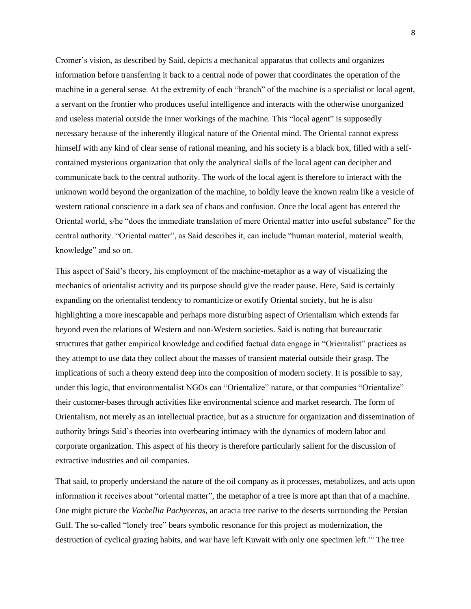Cromer's vision, as described by Said, depicts a mechanical apparatus that collects and organizes information before transferring it back to a central node of power that coordinates the operation of the machine in a general sense. At the extremity of each "branch" of the machine is a specialist or local agent, a servant on the frontier who produces useful intelligence and interacts with the otherwise unorganized and useless material outside the inner workings of the machine. This "local agent" is supposedly necessary because of the inherently illogical nature of the Oriental mind. The Oriental cannot express himself with any kind of clear sense of rational meaning, and his society is a black box, filled with a selfcontained mysterious organization that only the analytical skills of the local agent can decipher and communicate back to the central authority. The work of the local agent is therefore to interact with the unknown world beyond the organization of the machine, to boldly leave the known realm like a vesicle of western rational conscience in a dark sea of chaos and confusion. Once the local agent has entered the Oriental world, s/he "does the immediate translation of mere Oriental matter into useful substance" for the central authority. "Oriental matter", as Said describes it, can include "human material, material wealth, knowledge" and so on.

This aspect of Said's theory, his employment of the machine-metaphor as a way of visualizing the mechanics of orientalist activity and its purpose should give the reader pause. Here, Said is certainly expanding on the orientalist tendency to romanticize or exotify Oriental society, but he is also highlighting a more inescapable and perhaps more disturbing aspect of Orientalism which extends far beyond even the relations of Western and non-Western societies. Said is noting that bureaucratic structures that gather empirical knowledge and codified factual data engage in "Orientalist" practices as they attempt to use data they collect about the masses of transient material outside their grasp. The implications of such a theory extend deep into the composition of modern society. It is possible to say, under this logic, that environmentalist NGOs can "Orientalize" nature, or that companies "Orientalize" their customer-bases through activities like environmental science and market research. The form of Orientalism, not merely as an intellectual practice, but as a structure for organization and dissemination of authority brings Said's theories into overbearing intimacy with the dynamics of modern labor and corporate organization. This aspect of his theory is therefore particularly salient for the discussion of extractive industries and oil companies.

That said, to properly understand the nature of the oil company as it processes, metabolizes, and acts upon information it receives about "oriental matter", the metaphor of a tree is more apt than that of a machine. One might picture the *Vachellia Pachyceras,* an acacia tree native to the deserts surrounding the Persian Gulf. The so-called "lonely tree" bears symbolic resonance for this project as modernization, the destruction of cyclical grazing habits, and war have left Kuwait with only one specimen left.<sup>xii</sup> The tree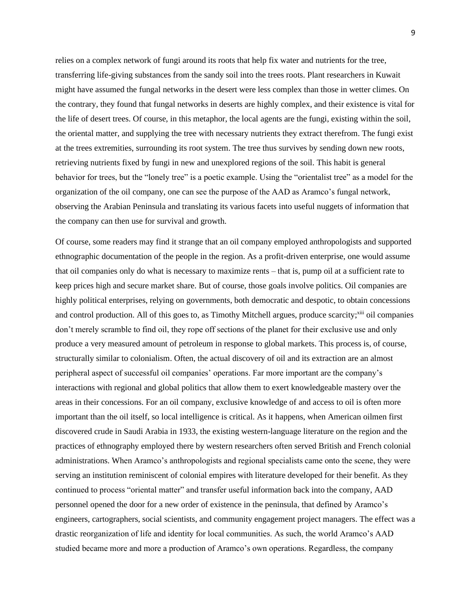relies on a complex network of fungi around its roots that help fix water and nutrients for the tree, transferring life-giving substances from the sandy soil into the trees roots. Plant researchers in Kuwait might have assumed the fungal networks in the desert were less complex than those in wetter climes. On the contrary, they found that fungal networks in deserts are highly complex, and their existence is vital for the life of desert trees. Of course, in this metaphor, the local agents are the fungi, existing within the soil, the oriental matter, and supplying the tree with necessary nutrients they extract therefrom. The fungi exist at the trees extremities, surrounding its root system. The tree thus survives by sending down new roots, retrieving nutrients fixed by fungi in new and unexplored regions of the soil. This habit is general behavior for trees, but the "lonely tree" is a poetic example. Using the "orientalist tree" as a model for the organization of the oil company, one can see the purpose of the AAD as Aramco's fungal network, observing the Arabian Peninsula and translating its various facets into useful nuggets of information that the company can then use for survival and growth.

Of course, some readers may find it strange that an oil company employed anthropologists and supported ethnographic documentation of the people in the region. As a profit-driven enterprise, one would assume that oil companies only do what is necessary to maximize rents – that is, pump oil at a sufficient rate to keep prices high and secure market share. But of course, those goals involve politics. Oil companies are highly political enterprises, relying on governments, both democratic and despotic, to obtain concessions and control production. All of this goes to, as Timothy Mitchell argues, produce scarcity;<sup>xiii</sup> oil companies don't merely scramble to find oil, they rope off sections of the planet for their exclusive use and only produce a very measured amount of petroleum in response to global markets. This process is, of course, structurally similar to colonialism. Often, the actual discovery of oil and its extraction are an almost peripheral aspect of successful oil companies' operations. Far more important are the company's interactions with regional and global politics that allow them to exert knowledgeable mastery over the areas in their concessions. For an oil company, exclusive knowledge of and access to oil is often more important than the oil itself, so local intelligence is critical. As it happens, when American oilmen first discovered crude in Saudi Arabia in 1933, the existing western-language literature on the region and the practices of ethnography employed there by western researchers often served British and French colonial administrations. When Aramco's anthropologists and regional specialists came onto the scene, they were serving an institution reminiscent of colonial empires with literature developed for their benefit. As they continued to process "oriental matter" and transfer useful information back into the company, AAD personnel opened the door for a new order of existence in the peninsula, that defined by Aramco's engineers, cartographers, social scientists, and community engagement project managers. The effect was a drastic reorganization of life and identity for local communities. As such, the world Aramco's AAD studied became more and more a production of Aramco's own operations. Regardless, the company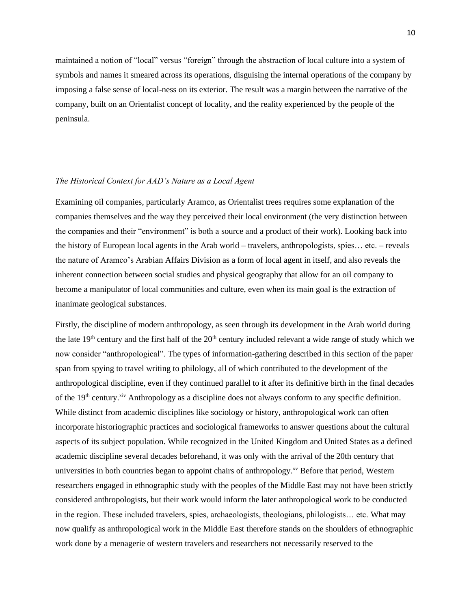maintained a notion of "local" versus "foreign" through the abstraction of local culture into a system of symbols and names it smeared across its operations, disguising the internal operations of the company by imposing a false sense of local-ness on its exterior. The result was a margin between the narrative of the company, built on an Orientalist concept of locality, and the reality experienced by the people of the peninsula.

## *The Historical Context for AAD's Nature as a Local Agent*

Examining oil companies, particularly Aramco, as Orientalist trees requires some explanation of the companies themselves and the way they perceived their local environment (the very distinction between the companies and their "environment" is both a source and a product of their work). Looking back into the history of European local agents in the Arab world – travelers, anthropologists, spies… etc. – reveals the nature of Aramco's Arabian Affairs Division as a form of local agent in itself, and also reveals the inherent connection between social studies and physical geography that allow for an oil company to become a manipulator of local communities and culture, even when its main goal is the extraction of inanimate geological substances.

Firstly, the discipline of modern anthropology, as seen through its development in the Arab world during the late  $19<sup>th</sup>$  century and the first half of the  $20<sup>th</sup>$  century included relevant a wide range of study which we now consider "anthropological". The types of information-gathering described in this section of the paper span from spying to travel writing to philology, all of which contributed to the development of the anthropological discipline, even if they continued parallel to it after its definitive birth in the final decades of the 19<sup>th</sup> century.<sup>xiv</sup> Anthropology as a discipline does not always conform to any specific definition. While distinct from academic disciplines like sociology or history, anthropological work can often incorporate historiographic practices and sociological frameworks to answer questions about the cultural aspects of its subject population. While recognized in the United Kingdom and United States as a defined academic discipline several decades beforehand, it was only with the arrival of the 20th century that universities in both countries began to appoint chairs of anthropology.<sup>xv</sup> Before that period, Western researchers engaged in ethnographic study with the peoples of the Middle East may not have been strictly considered anthropologists, but their work would inform the later anthropological work to be conducted in the region. These included travelers, spies, archaeologists, theologians, philologists… etc. What may now qualify as anthropological work in the Middle East therefore stands on the shoulders of ethnographic work done by a menagerie of western travelers and researchers not necessarily reserved to the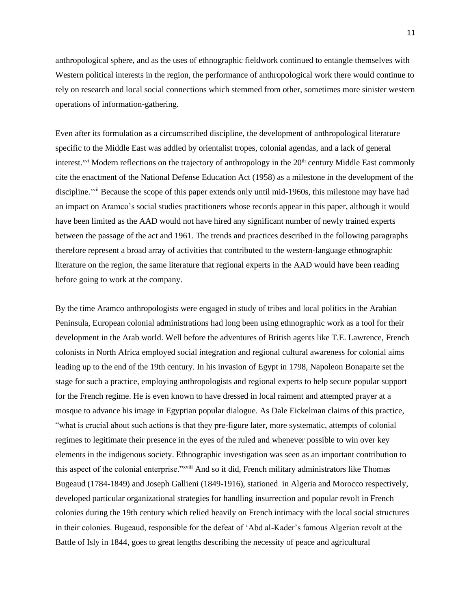anthropological sphere, and as the uses of ethnographic fieldwork continued to entangle themselves with Western political interests in the region, the performance of anthropological work there would continue to rely on research and local social connections which stemmed from other, sometimes more sinister western operations of information-gathering.

Even after its formulation as a circumscribed discipline, the development of anthropological literature specific to the Middle East was addled by orientalist tropes, colonial agendas, and a lack of general interest.<sup>xvi</sup> Modern reflections on the trajectory of anthropology in the  $20<sup>th</sup>$  century Middle East commonly cite the enactment of the National Defense Education Act (1958) as a milestone in the development of the discipline.<sup>xvii</sup> Because the scope of this paper extends only until mid-1960s, this milestone may have had an impact on Aramco's social studies practitioners whose records appear in this paper, although it would have been limited as the AAD would not have hired any significant number of newly trained experts between the passage of the act and 1961. The trends and practices described in the following paragraphs therefore represent a broad array of activities that contributed to the western-language ethnographic literature on the region, the same literature that regional experts in the AAD would have been reading before going to work at the company.

By the time Aramco anthropologists were engaged in study of tribes and local politics in the Arabian Peninsula, European colonial administrations had long been using ethnographic work as a tool for their development in the Arab world. Well before the adventures of British agents like T.E. Lawrence, French colonists in North Africa employed social integration and regional cultural awareness for colonial aims leading up to the end of the 19th century. In his invasion of Egypt in 1798, Napoleon Bonaparte set the stage for such a practice, employing anthropologists and regional experts to help secure popular support for the French regime. He is even known to have dressed in local raiment and attempted prayer at a mosque to advance his image in Egyptian popular dialogue. As Dale Eickelman claims of this practice, "what is crucial about such actions is that they pre-figure later, more systematic, attempts of colonial regimes to legitimate their presence in the eyes of the ruled and whenever possible to win over key elements in the indigenous society. Ethnographic investigation was seen as an important contribution to this aspect of the colonial enterprise."xviii And so it did, French military administrators like Thomas Bugeaud (1784-1849) and Joseph Gallieni (1849-1916), stationed in Algeria and Morocco respectively, developed particular organizational strategies for handling insurrection and popular revolt in French colonies during the 19th century which relied heavily on French intimacy with the local social structures in their colonies. Bugeaud, responsible for the defeat of 'Abd al-Kader's famous Algerian revolt at the Battle of Isly in 1844, goes to great lengths describing the necessity of peace and agricultural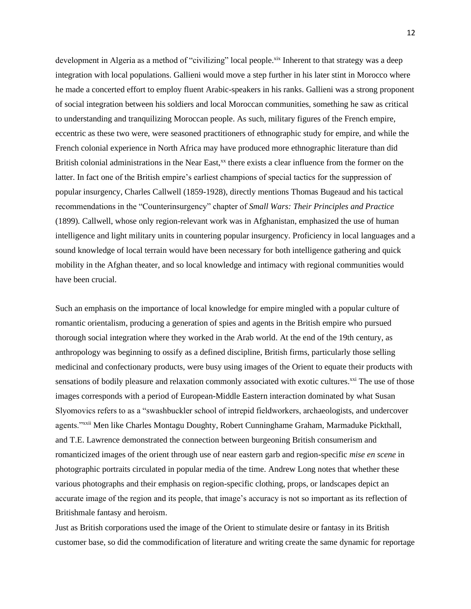development in Algeria as a method of "civilizing" local people.<sup>xix</sup> Inherent to that strategy was a deep integration with local populations. Gallieni would move a step further in his later stint in Morocco where he made a concerted effort to employ fluent Arabic-speakers in his ranks. Gallieni was a strong proponent of social integration between his soldiers and local Moroccan communities, something he saw as critical to understanding and tranquilizing Moroccan people. As such, military figures of the French empire, eccentric as these two were, were seasoned practitioners of ethnographic study for empire, and while the French colonial experience in North Africa may have produced more ethnographic literature than did British colonial administrations in the Near East, $^{xx}$  there exists a clear influence from the former on the latter. In fact one of the British empire's earliest champions of special tactics for the suppression of popular insurgency, Charles Callwell (1859-1928), directly mentions Thomas Bugeaud and his tactical recommendations in the "Counterinsurgency" chapter of *Small Wars: Their Principles and Practice*  (1899)*.* Callwell, whose only region-relevant work was in Afghanistan, emphasized the use of human intelligence and light military units in countering popular insurgency. Proficiency in local languages and a sound knowledge of local terrain would have been necessary for both intelligence gathering and quick mobility in the Afghan theater, and so local knowledge and intimacy with regional communities would have been crucial.

Such an emphasis on the importance of local knowledge for empire mingled with a popular culture of romantic orientalism, producing a generation of spies and agents in the British empire who pursued thorough social integration where they worked in the Arab world. At the end of the 19th century, as anthropology was beginning to ossify as a defined discipline, British firms, particularly those selling medicinal and confectionary products, were busy using images of the Orient to equate their products with sensations of bodily pleasure and relaxation commonly associated with exotic cultures.<sup>xxi</sup> The use of those images corresponds with a period of European-Middle Eastern interaction dominated by what Susan Slyomovics refers to as a "swashbuckler school of intrepid fieldworkers, archaeologists, and undercover agents."xxii Men like Charles Montagu Doughty, Robert Cunninghame Graham, Marmaduke Pickthall, and T.E. Lawrence demonstrated the connection between burgeoning British consumerism and romanticized images of the orient through use of near eastern garb and region-specific *mise en scene* in photographic portraits circulated in popular media of the time. Andrew Long notes that whether these various photographs and their emphasis on region-specific clothing, props, or landscapes depict an accurate image of the region and its people, that image's accuracy is not so important as its reflection of Britishmale fantasy and heroism.

Just as British corporations used the image of the Orient to stimulate desire or fantasy in its British customer base, so did the commodification of literature and writing create the same dynamic for reportage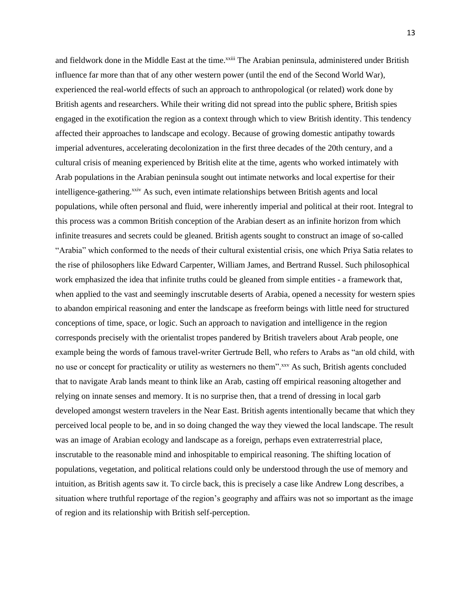and fieldwork done in the Middle East at the time.<sup>xxiii</sup> The Arabian peninsula, administered under British influence far more than that of any other western power (until the end of the Second World War), experienced the real-world effects of such an approach to anthropological (or related) work done by British agents and researchers. While their writing did not spread into the public sphere, British spies engaged in the exotification the region as a context through which to view British identity. This tendency affected their approaches to landscape and ecology. Because of growing domestic antipathy towards imperial adventures, accelerating decolonization in the first three decades of the 20th century, and a cultural crisis of meaning experienced by British elite at the time, agents who worked intimately with Arab populations in the Arabian peninsula sought out intimate networks and local expertise for their intelligence-gathering.<sup>xxiv</sup> As such, even intimate relationships between British agents and local populations, while often personal and fluid, were inherently imperial and political at their root. Integral to this process was a common British conception of the Arabian desert as an infinite horizon from which infinite treasures and secrets could be gleaned. British agents sought to construct an image of so-called "Arabia" which conformed to the needs of their cultural existential crisis, one which Priya Satia relates to the rise of philosophers like Edward Carpenter, William James, and Bertrand Russel. Such philosophical work emphasized the idea that infinite truths could be gleaned from simple entities - a framework that, when applied to the vast and seemingly inscrutable deserts of Arabia, opened a necessity for western spies to abandon empirical reasoning and enter the landscape as freeform beings with little need for structured conceptions of time, space, or logic. Such an approach to navigation and intelligence in the region corresponds precisely with the orientalist tropes pandered by British travelers about Arab people, one example being the words of famous travel-writer Gertrude Bell, who refers to Arabs as "an old child, with no use or concept for practicality or utility as westerners no them".<sup>xxv</sup> As such, British agents concluded that to navigate Arab lands meant to think like an Arab, casting off empirical reasoning altogether and relying on innate senses and memory. It is no surprise then, that a trend of dressing in local garb developed amongst western travelers in the Near East. British agents intentionally became that which they perceived local people to be, and in so doing changed the way they viewed the local landscape. The result was an image of Arabian ecology and landscape as a foreign, perhaps even extraterrestrial place, inscrutable to the reasonable mind and inhospitable to empirical reasoning. The shifting location of populations, vegetation, and political relations could only be understood through the use of memory and intuition, as British agents saw it. To circle back, this is precisely a case like Andrew Long describes, a situation where truthful reportage of the region's geography and affairs was not so important as the image of region and its relationship with British self-perception.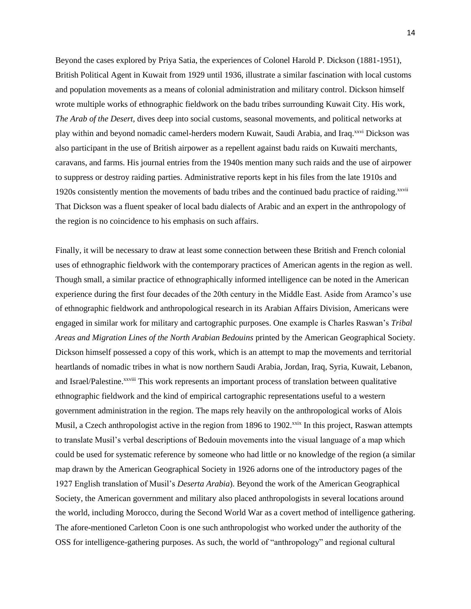Beyond the cases explored by Priya Satia, the experiences of Colonel Harold P. Dickson (1881-1951), British Political Agent in Kuwait from 1929 until 1936, illustrate a similar fascination with local customs and population movements as a means of colonial administration and military control. Dickson himself wrote multiple works of ethnographic fieldwork on the badu tribes surrounding Kuwait City. His work, *The Arab of the Desert,* dives deep into social customs, seasonal movements, and political networks at play within and beyond nomadic camel-herders modern Kuwait, Saudi Arabia, and Iraq.xxvi Dickson was also participant in the use of British airpower as a repellent against badu raids on Kuwaiti merchants, caravans, and farms. His journal entries from the 1940s mention many such raids and the use of airpower to suppress or destroy raiding parties. Administrative reports kept in his files from the late 1910s and 1920s consistently mention the movements of badu tribes and the continued badu practice of raiding.<sup>xxvii</sup> That Dickson was a fluent speaker of local badu dialects of Arabic and an expert in the anthropology of the region is no coincidence to his emphasis on such affairs.

Finally, it will be necessary to draw at least some connection between these British and French colonial uses of ethnographic fieldwork with the contemporary practices of American agents in the region as well. Though small, a similar practice of ethnographically informed intelligence can be noted in the American experience during the first four decades of the 20th century in the Middle East. Aside from Aramco's use of ethnographic fieldwork and anthropological research in its Arabian Affairs Division, Americans were engaged in similar work for military and cartographic purposes. One example is Charles Raswan's *Tribal Areas and Migration Lines of the North Arabian Bedouins* printed by the American Geographical Society. Dickson himself possessed a copy of this work, which is an attempt to map the movements and territorial heartlands of nomadic tribes in what is now northern Saudi Arabia, Jordan, Iraq, Syria, Kuwait, Lebanon, and Israel/Palestine.<sup>xxviii</sup> This work represents an important process of translation between qualitative ethnographic fieldwork and the kind of empirical cartographic representations useful to a western government administration in the region. The maps rely heavily on the anthropological works of Alois Musil, a Czech anthropologist active in the region from 1896 to 1902.<sup>xxix</sup> In this project, Raswan attempts to translate Musil's verbal descriptions of Bedouin movements into the visual language of a map which could be used for systematic reference by someone who had little or no knowledge of the region (a similar map drawn by the American Geographical Society in 1926 adorns one of the introductory pages of the 1927 English translation of Musil's *Deserta Arabia*). Beyond the work of the American Geographical Society, the American government and military also placed anthropologists in several locations around the world, including Morocco, during the Second World War as a covert method of intelligence gathering. The afore-mentioned Carleton Coon is one such anthropologist who worked under the authority of the OSS for intelligence-gathering purposes. As such, the world of "anthropology" and regional cultural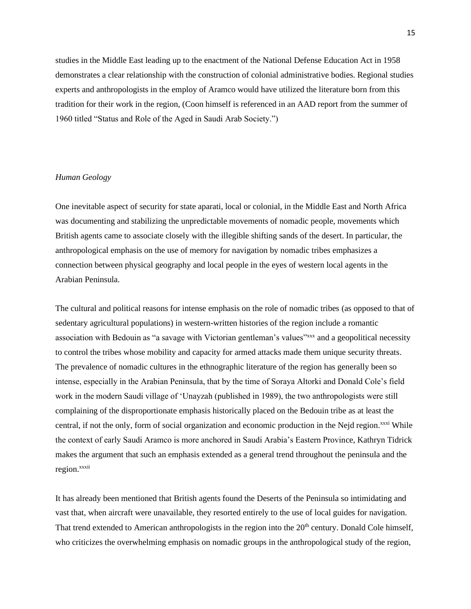studies in the Middle East leading up to the enactment of the National Defense Education Act in 1958 demonstrates a clear relationship with the construction of colonial administrative bodies. Regional studies experts and anthropologists in the employ of Aramco would have utilized the literature born from this tradition for their work in the region, (Coon himself is referenced in an AAD report from the summer of 1960 titled "Status and Role of the Aged in Saudi Arab Society.")

## *Human Geology*

One inevitable aspect of security for state aparati, local or colonial, in the Middle East and North Africa was documenting and stabilizing the unpredictable movements of nomadic people, movements which British agents came to associate closely with the illegible shifting sands of the desert. In particular, the anthropological emphasis on the use of memory for navigation by nomadic tribes emphasizes a connection between physical geography and local people in the eyes of western local agents in the Arabian Peninsula.

The cultural and political reasons for intense emphasis on the role of nomadic tribes (as opposed to that of sedentary agricultural populations) in western-written histories of the region include a romantic association with Bedouin as "a savage with Victorian gentleman's values"<sup>xxx</sup> and a geopolitical necessity to control the tribes whose mobility and capacity for armed attacks made them unique security threats. The prevalence of nomadic cultures in the ethnographic literature of the region has generally been so intense, especially in the Arabian Peninsula, that by the time of Soraya Altorki and Donald Cole's field work in the modern Saudi village of 'Unayzah (published in 1989), the two anthropologists were still complaining of the disproportionate emphasis historically placed on the Bedouin tribe as at least the central, if not the only, form of social organization and economic production in the Nejd region.<sup>xxxi</sup> While the context of early Saudi Aramco is more anchored in Saudi Arabia's Eastern Province, Kathryn Tidrick makes the argument that such an emphasis extended as a general trend throughout the peninsula and the region.xxxii

It has already been mentioned that British agents found the Deserts of the Peninsula so intimidating and vast that, when aircraft were unavailable, they resorted entirely to the use of local guides for navigation. That trend extended to American anthropologists in the region into the 20<sup>th</sup> century. Donald Cole himself, who criticizes the overwhelming emphasis on nomadic groups in the anthropological study of the region,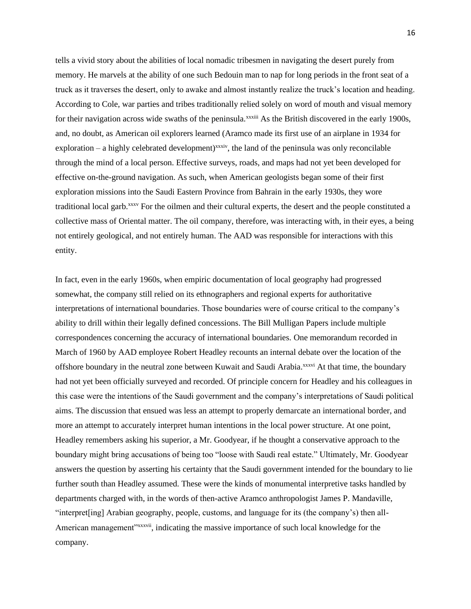tells a vivid story about the abilities of local nomadic tribesmen in navigating the desert purely from memory. He marvels at the ability of one such Bedouin man to nap for long periods in the front seat of a truck as it traverses the desert, only to awake and almost instantly realize the truck's location and heading. According to Cole, war parties and tribes traditionally relied solely on word of mouth and visual memory for their navigation across wide swaths of the peninsula.<sup>xxxiii</sup> As the British discovered in the early 1900s, and, no doubt, as American oil explorers learned (Aramco made its first use of an airplane in 1934 for  $exploration - a highly celebrated development)<sup>xxxiv</sup>$ , the land of the peninsula was only reconcilable through the mind of a local person. Effective surveys, roads, and maps had not yet been developed for effective on-the-ground navigation. As such, when American geologists began some of their first exploration missions into the Saudi Eastern Province from Bahrain in the early 1930s, they wore traditional local garb.xxxv For the oilmen and their cultural experts, the desert and the people constituted a collective mass of Oriental matter. The oil company, therefore, was interacting with, in their eyes, a being not entirely geological, and not entirely human. The AAD was responsible for interactions with this entity.

In fact, even in the early 1960s, when empiric documentation of local geography had progressed somewhat, the company still relied on its ethnographers and regional experts for authoritative interpretations of international boundaries. Those boundaries were of course critical to the company's ability to drill within their legally defined concessions. The Bill Mulligan Papers include multiple correspondences concerning the accuracy of international boundaries. One memorandum recorded in March of 1960 by AAD employee Robert Headley recounts an internal debate over the location of the offshore boundary in the neutral zone between Kuwait and Saudi Arabia.<sup>xxxvi</sup> At that time, the boundary had not yet been officially surveyed and recorded. Of principle concern for Headley and his colleagues in this case were the intentions of the Saudi government and the company's interpretations of Saudi political aims. The discussion that ensued was less an attempt to properly demarcate an international border, and more an attempt to accurately interpret human intentions in the local power structure. At one point, Headley remembers asking his superior, a Mr. Goodyear, if he thought a conservative approach to the boundary might bring accusations of being too "loose with Saudi real estate." Ultimately, Mr. Goodyear answers the question by asserting his certainty that the Saudi government intended for the boundary to lie further south than Headley assumed. These were the kinds of monumental interpretive tasks handled by departments charged with, in the words of then-active Aramco anthropologist James P. Mandaville, "interpret[ing] Arabian geography, people, customs, and language for its (the company's) then all-American management"xxxvii, indicating the massive importance of such local knowledge for the company.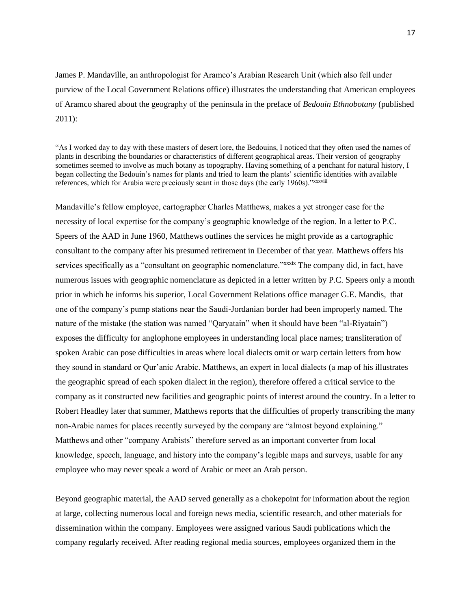James P. Mandaville, an anthropologist for Aramco's Arabian Research Unit (which also fell under purview of the Local Government Relations office) illustrates the understanding that American employees of Aramco shared about the geography of the peninsula in the preface of *Bedouin Ethnobotany* (published 2011):

"As I worked day to day with these masters of desert lore, the Bedouins, I noticed that they often used the names of plants in describing the boundaries or characteristics of different geographical areas. Their version of geography sometimes seemed to involve as much botany as topography. Having something of a penchant for natural history, I began collecting the Bedouin's names for plants and tried to learn the plants' scientific identities with available references, which for Arabia were preciously scant in those days (the early 1960s)." xxxviii

Mandaville's fellow employee, cartographer Charles Matthews, makes a yet stronger case for the necessity of local expertise for the company's geographic knowledge of the region. In a letter to P.C. Speers of the AAD in June 1960, Matthews outlines the services he might provide as a cartographic consultant to the company after his presumed retirement in December of that year. Matthews offers his services specifically as a "consultant on geographic nomenclature."*xxxxxxx* The company did, in fact, have numerous issues with geographic nomenclature as depicted in a letter written by P.C. Speers only a month prior in which he informs his superior, Local Government Relations office manager G.E. Mandis, that one of the company's pump stations near the Saudi-Jordanian border had been improperly named. The nature of the mistake (the station was named "Qaryatain" when it should have been "al-Riyatain") exposes the difficulty for anglophone employees in understanding local place names; transliteration of spoken Arabic can pose difficulties in areas where local dialects omit or warp certain letters from how they sound in standard or Qur'anic Arabic. Matthews, an expert in local dialects (a map of his illustrates the geographic spread of each spoken dialect in the region), therefore offered a critical service to the company as it constructed new facilities and geographic points of interest around the country. In a letter to Robert Headley later that summer, Matthews reports that the difficulties of properly transcribing the many non-Arabic names for places recently surveyed by the company are "almost beyond explaining." Matthews and other "company Arabists" therefore served as an important converter from local knowledge, speech, language, and history into the company's legible maps and surveys, usable for any employee who may never speak a word of Arabic or meet an Arab person.

Beyond geographic material, the AAD served generally as a chokepoint for information about the region at large, collecting numerous local and foreign news media, scientific research, and other materials for dissemination within the company. Employees were assigned various Saudi publications which the company regularly received. After reading regional media sources, employees organized them in the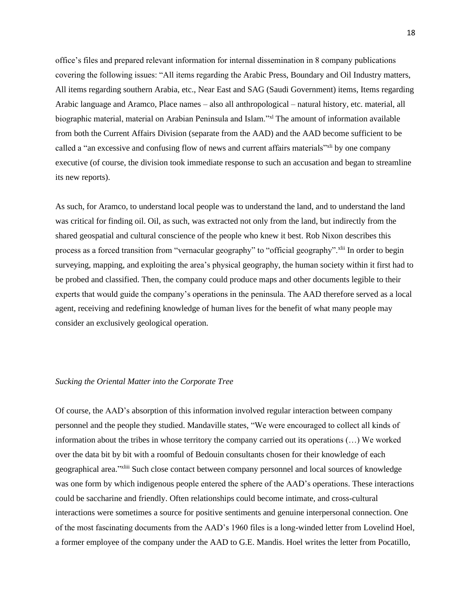office's files and prepared relevant information for internal dissemination in 8 company publications covering the following issues: "All items regarding the Arabic Press, Boundary and Oil Industry matters, All items regarding southern Arabia, etc., Near East and SAG (Saudi Government) items, Items regarding Arabic language and Aramco, Place names – also all anthropological – natural history, etc. material, all biographic material, material on Arabian Peninsula and Islam."<sup>xl</sup> The amount of information available from both the Current Affairs Division (separate from the AAD) and the AAD become sufficient to be called a "an excessive and confusing flow of news and current affairs materials"<sup>xi</sup> by one company executive (of course, the division took immediate response to such an accusation and began to streamline its new reports).

As such, for Aramco, to understand local people was to understand the land, and to understand the land was critical for finding oil. Oil, as such, was extracted not only from the land, but indirectly from the shared geospatial and cultural conscience of the people who knew it best. Rob Nixon describes this process as a forced transition from "vernacular geography" to "official geography".xlii In order to begin surveying, mapping, and exploiting the area's physical geography, the human society within it first had to be probed and classified. Then, the company could produce maps and other documents legible to their experts that would guide the company's operations in the peninsula. The AAD therefore served as a local agent, receiving and redefining knowledge of human lives for the benefit of what many people may consider an exclusively geological operation.

## *Sucking the Oriental Matter into the Corporate Tree*

Of course, the AAD's absorption of this information involved regular interaction between company personnel and the people they studied. Mandaville states, "We were encouraged to collect all kinds of information about the tribes in whose territory the company carried out its operations (…) We worked over the data bit by bit with a roomful of Bedouin consultants chosen for their knowledge of each geographical area."<sup>xliii</sup> Such close contact between company personnel and local sources of knowledge was one form by which indigenous people entered the sphere of the AAD's operations. These interactions could be saccharine and friendly. Often relationships could become intimate, and cross-cultural interactions were sometimes a source for positive sentiments and genuine interpersonal connection. One of the most fascinating documents from the AAD's 1960 files is a long-winded letter from Lovelind Hoel, a former employee of the company under the AAD to G.E. Mandis. Hoel writes the letter from Pocatillo,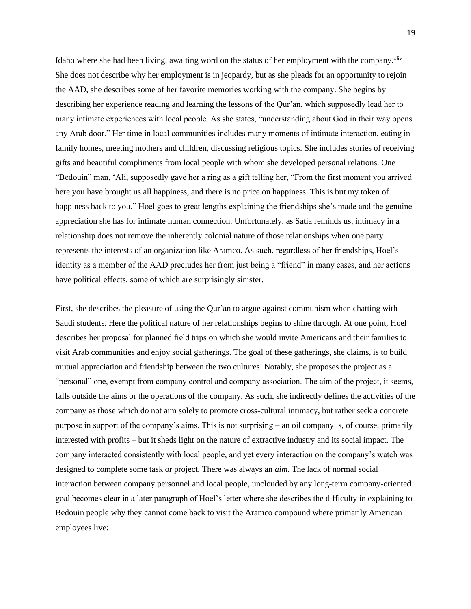Idaho where she had been living, awaiting word on the status of her employment with the company.<sup>xliv</sup> She does not describe why her employment is in jeopardy, but as she pleads for an opportunity to rejoin the AAD, she describes some of her favorite memories working with the company. She begins by describing her experience reading and learning the lessons of the Qur'an, which supposedly lead her to many intimate experiences with local people. As she states, "understanding about God in their way opens any Arab door." Her time in local communities includes many moments of intimate interaction, eating in family homes, meeting mothers and children, discussing religious topics. She includes stories of receiving gifts and beautiful compliments from local people with whom she developed personal relations. One "Bedouin" man, 'Ali, supposedly gave her a ring as a gift telling her, "From the first moment you arrived here you have brought us all happiness, and there is no price on happiness. This is but my token of happiness back to you." Hoel goes to great lengths explaining the friendships she's made and the genuine appreciation she has for intimate human connection. Unfortunately, as Satia reminds us, intimacy in a relationship does not remove the inherently colonial nature of those relationships when one party represents the interests of an organization like Aramco. As such, regardless of her friendships, Hoel's identity as a member of the AAD precludes her from just being a "friend" in many cases, and her actions have political effects, some of which are surprisingly sinister.

First, she describes the pleasure of using the Qur'an to argue against communism when chatting with Saudi students. Here the political nature of her relationships begins to shine through. At one point, Hoel describes her proposal for planned field trips on which she would invite Americans and their families to visit Arab communities and enjoy social gatherings. The goal of these gatherings, she claims, is to build mutual appreciation and friendship between the two cultures. Notably, she proposes the project as a "personal" one, exempt from company control and company association. The aim of the project, it seems, falls outside the aims or the operations of the company. As such, she indirectly defines the activities of the company as those which do not aim solely to promote cross-cultural intimacy, but rather seek a concrete purpose in support of the company's aims. This is not surprising – an oil company is, of course, primarily interested with profits – but it sheds light on the nature of extractive industry and its social impact. The company interacted consistently with local people, and yet every interaction on the company's watch was designed to complete some task or project. There was always an *aim.* The lack of normal social interaction between company personnel and local people, unclouded by any long-term company-oriented goal becomes clear in a later paragraph of Hoel's letter where she describes the difficulty in explaining to Bedouin people why they cannot come back to visit the Aramco compound where primarily American employees live: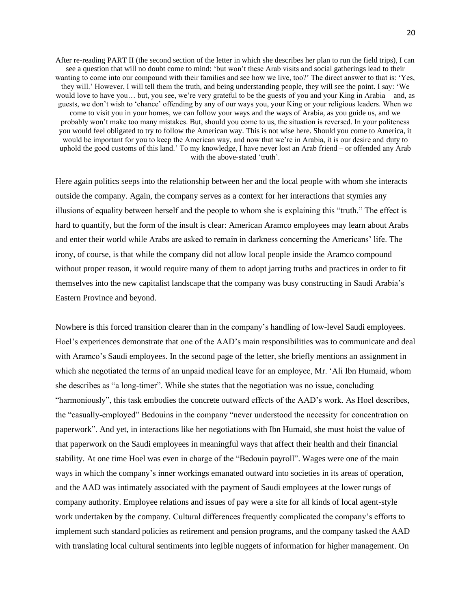After re-reading PART II (the second section of the letter in which she describes her plan to run the field trips), I can see a question that will no doubt come to mind: 'but won't these Arab visits and social gatherings lead to their wanting to come into our compound with their families and see how we live, too?' The direct answer to that is: 'Yes, they will.' However, I will tell them the truth, and being understanding people, they will see the point. I say: 'We would love to have you… but, you see, we're very grateful to be the guests of you and your King in Arabia – and, as guests, we don't wish to 'chance' offending by any of our ways you, your King or your religious leaders. When we come to visit you in your homes, we can follow your ways and the ways of Arabia, as you guide us, and we probably won't make too many mistakes. But, should you come to us, the situation is reversed. In your politeness you would feel obligated to try to follow the American way. This is not wise here. Should you come to America, it would be important for you to keep the American way, and now that we're in Arabia, it is our desire and duty to uphold the good customs of this land.' To my knowledge, I have never lost an Arab friend – or offended any Arab with the above-stated 'truth'.

Here again politics seeps into the relationship between her and the local people with whom she interacts outside the company. Again, the company serves as a context for her interactions that stymies any illusions of equality between herself and the people to whom she is explaining this "truth." The effect is hard to quantify, but the form of the insult is clear: American Aramco employees may learn about Arabs and enter their world while Arabs are asked to remain in darkness concerning the Americans' life. The irony, of course, is that while the company did not allow local people inside the Aramco compound without proper reason, it would require many of them to adopt jarring truths and practices in order to fit themselves into the new capitalist landscape that the company was busy constructing in Saudi Arabia's Eastern Province and beyond.

Nowhere is this forced transition clearer than in the company's handling of low-level Saudi employees. Hoel's experiences demonstrate that one of the AAD's main responsibilities was to communicate and deal with Aramco's Saudi employees. In the second page of the letter, she briefly mentions an assignment in which she negotiated the terms of an unpaid medical leave for an employee, Mr. 'Ali Ibn Humaid, whom she describes as "a long-timer". While she states that the negotiation was no issue, concluding "harmoniously", this task embodies the concrete outward effects of the AAD's work. As Hoel describes, the "casually-employed" Bedouins in the company "never understood the necessity for concentration on paperwork". And yet, in interactions like her negotiations with Ibn Humaid, she must hoist the value of that paperwork on the Saudi employees in meaningful ways that affect their health and their financial stability. At one time Hoel was even in charge of the "Bedouin payroll". Wages were one of the main ways in which the company's inner workings emanated outward into societies in its areas of operation, and the AAD was intimately associated with the payment of Saudi employees at the lower rungs of company authority. Employee relations and issues of pay were a site for all kinds of local agent-style work undertaken by the company. Cultural differences frequently complicated the company's efforts to implement such standard policies as retirement and pension programs, and the company tasked the AAD with translating local cultural sentiments into legible nuggets of information for higher management. On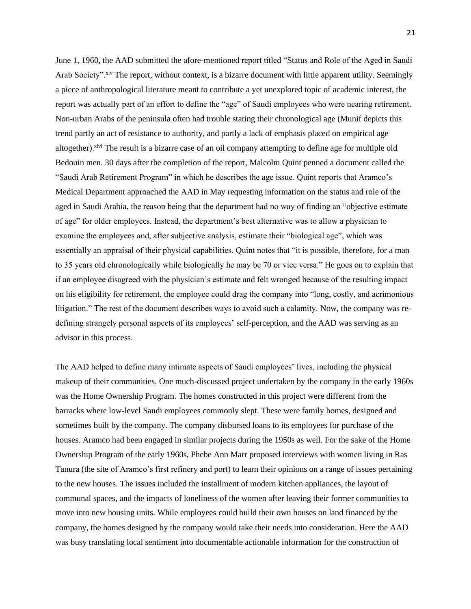June 1, 1960, the AAD submitted the afore-mentioned report titled "Status and Role of the Aged in Saudi Arab Society". $x^{1}y$  The report, without context, is a bizarre document with little apparent utility. Seemingly a piece of anthropological literature meant to contribute a yet unexplored topic of academic interest, the report was actually part of an effort to define the "age" of Saudi employees who were nearing retirement. Non-urban Arabs of the peninsula often had trouble stating their chronological age (Munif depicts this trend partly an act of resistance to authority, and partly a lack of emphasis placed on empirical age altogether). <sup>xivi</sup> The result is a bizarre case of an oil company attempting to define age for multiple old Bedouin men. 30 days after the completion of the report, Malcolm Quint penned a document called the "Saudi Arab Retirement Program" in which he describes the age issue. Quint reports that Aramco's Medical Department approached the AAD in May requesting information on the status and role of the aged in Saudi Arabia, the reason being that the department had no way of finding an "objective estimate of age" for older employees. Instead, the department's best alternative was to allow a physician to examine the employees and, after subjective analysis, estimate their "biological age", which was essentially an appraisal of their physical capabilities. Quint notes that "it is possible, therefore, for a man to 35 years old chronologically while biologically he may be 70 or vice versa." He goes on to explain that if an employee disagreed with the physician's estimate and felt wronged because of the resulting impact on his eligibility for retirement, the employee could drag the company into "long, costly, and acrimonious litigation." The rest of the document describes ways to avoid such a calamity. Now, the company was redefining strangely personal aspects of its employees' self-perception, and the AAD was serving as an advisor in this process.

The AAD helped to define many intimate aspects of Saudi employees' lives, including the physical makeup of their communities. One much-discussed project undertaken by the company in the early 1960s was the Home Ownership Program. The homes constructed in this project were different from the barracks where low-level Saudi employees commonly slept. These were family homes, designed and sometimes built by the company. The company disbursed loans to its employees for purchase of the houses. Aramco had been engaged in similar projects during the 1950s as well. For the sake of the Home Ownership Program of the early 1960s, Phebe Ann Marr proposed interviews with women living in Ras Tanura (the site of Aramco's first refinery and port) to learn their opinions on a range of issues pertaining to the new houses. The issues included the installment of modern kitchen appliances, the layout of communal spaces, and the impacts of loneliness of the women after leaving their former communities to move into new housing units. While employees could build their own houses on land financed by the company, the homes designed by the company would take their needs into consideration. Here the AAD was busy translating local sentiment into documentable actionable information for the construction of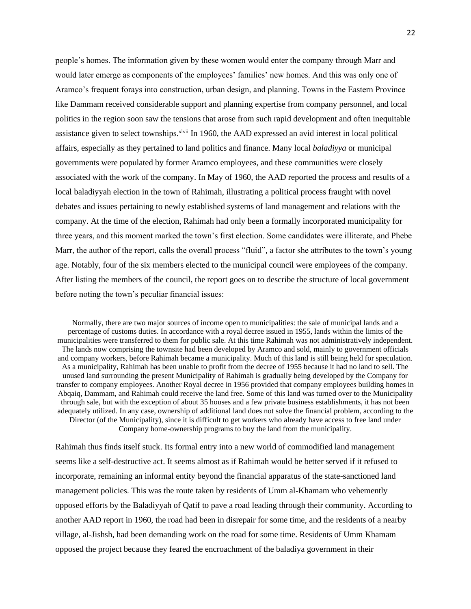people's homes. The information given by these women would enter the company through Marr and would later emerge as components of the employees' families' new homes. And this was only one of Aramco's frequent forays into construction, urban design, and planning. Towns in the Eastern Province like Dammam received considerable support and planning expertise from company personnel, and local politics in the region soon saw the tensions that arose from such rapid development and often inequitable assistance given to select townships.<sup>xlvii</sup> In 1960, the AAD expressed an avid interest in local political affairs, especially as they pertained to land politics and finance. Many local *baladiyya* or municipal governments were populated by former Aramco employees, and these communities were closely associated with the work of the company. In May of 1960, the AAD reported the process and results of a local baladiyyah election in the town of Rahimah, illustrating a political process fraught with novel debates and issues pertaining to newly established systems of land management and relations with the company. At the time of the election, Rahimah had only been a formally incorporated municipality for three years, and this moment marked the town's first election. Some candidates were illiterate, and Phebe Marr, the author of the report, calls the overall process "fluid", a factor she attributes to the town's young age. Notably, four of the six members elected to the municipal council were employees of the company. After listing the members of the council, the report goes on to describe the structure of local government before noting the town's peculiar financial issues:

Normally, there are two major sources of income open to municipalities: the sale of municipal lands and a percentage of customs duties. In accordance with a royal decree issued in 1955, lands within the limits of the municipalities were transferred to them for public sale. At this time Rahimah was not administratively independent. The lands now comprising the townsite had been developed by Aramco and sold, mainly to government officials and company workers, before Rahimah became a municipality. Much of this land is still being held for speculation. As a municipality, Rahimah has been unable to profit from the decree of 1955 because it had no land to sell. The unused land surrounding the present Municipality of Rahimah is gradually being developed by the Company for transfer to company employees. Another Royal decree in 1956 provided that company employees building homes in Abqaiq, Dammam, and Rahimah could receive the land free. Some of this land was turned over to the Municipality through sale, but with the exception of about 35 houses and a few private business establishments, it has not been adequately utilized. In any case, ownership of additional land does not solve the financial problem, according to the Director (of the Municipality), since it is difficult to get workers who already have access to free land under Company home-ownership programs to buy the land from the municipality.

Rahimah thus finds itself stuck. Its formal entry into a new world of commodified land management seems like a self-destructive act. It seems almost as if Rahimah would be better served if it refused to incorporate, remaining an informal entity beyond the financial apparatus of the state-sanctioned land management policies. This was the route taken by residents of Umm al-Khamam who vehemently opposed efforts by the Baladiyyah of Qatif to pave a road leading through their community. According to another AAD report in 1960, the road had been in disrepair for some time, and the residents of a nearby village, al-Jishsh, had been demanding work on the road for some time. Residents of Umm Khamam opposed the project because they feared the encroachment of the baladiya government in their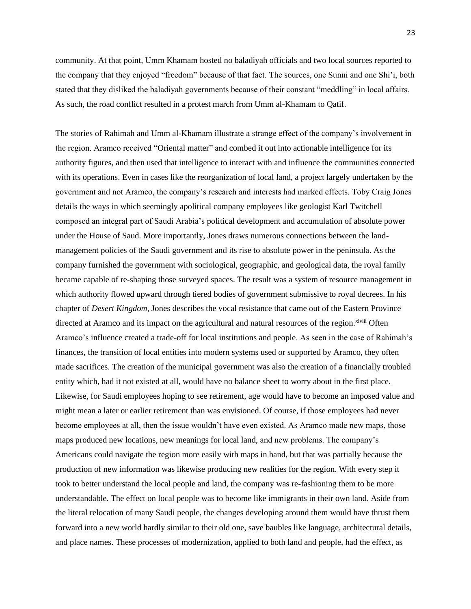community. At that point, Umm Khamam hosted no baladiyah officials and two local sources reported to the company that they enjoyed "freedom" because of that fact. The sources, one Sunni and one Shi'i, both stated that they disliked the baladiyah governments because of their constant "meddling" in local affairs. As such, the road conflict resulted in a protest march from Umm al-Khamam to Qatif.

The stories of Rahimah and Umm al-Khamam illustrate a strange effect of the company's involvement in the region. Aramco received "Oriental matter" and combed it out into actionable intelligence for its authority figures, and then used that intelligence to interact with and influence the communities connected with its operations. Even in cases like the reorganization of local land, a project largely undertaken by the government and not Aramco, the company's research and interests had marked effects. Toby Craig Jones details the ways in which seemingly apolitical company employees like geologist Karl Twitchell composed an integral part of Saudi Arabia's political development and accumulation of absolute power under the House of Saud. More importantly, Jones draws numerous connections between the landmanagement policies of the Saudi government and its rise to absolute power in the peninsula. As the company furnished the government with sociological, geographic, and geological data, the royal family became capable of re-shaping those surveyed spaces. The result was a system of resource management in which authority flowed upward through tiered bodies of government submissive to royal decrees. In his chapter of *Desert Kingdom,* Jones describes the vocal resistance that came out of the Eastern Province directed at Aramco and its impact on the agricultural and natural resources of the region.<sup>xlviii</sup> Often Aramco's influence created a trade-off for local institutions and people. As seen in the case of Rahimah's finances, the transition of local entities into modern systems used or supported by Aramco, they often made sacrifices. The creation of the municipal government was also the creation of a financially troubled entity which, had it not existed at all, would have no balance sheet to worry about in the first place. Likewise, for Saudi employees hoping to see retirement, age would have to become an imposed value and might mean a later or earlier retirement than was envisioned. Of course, if those employees had never become employees at all, then the issue wouldn't have even existed. As Aramco made new maps, those maps produced new locations, new meanings for local land, and new problems. The company's Americans could navigate the region more easily with maps in hand, but that was partially because the production of new information was likewise producing new realities for the region. With every step it took to better understand the local people and land, the company was re-fashioning them to be more understandable. The effect on local people was to become like immigrants in their own land. Aside from the literal relocation of many Saudi people, the changes developing around them would have thrust them forward into a new world hardly similar to their old one, save baubles like language, architectural details, and place names. These processes of modernization, applied to both land and people, had the effect, as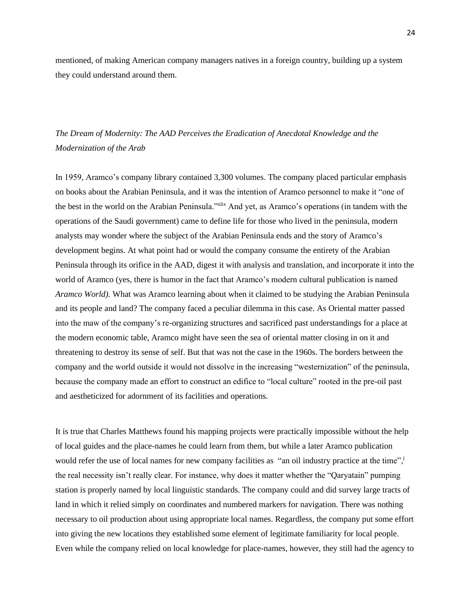mentioned, of making American company managers natives in a foreign country, building up a system they could understand around them.

## *The Dream of Modernity: The AAD Perceives the Eradication of Anecdotal Knowledge and the Modernization of the Arab*

In 1959, Aramco's company library contained 3,300 volumes. The company placed particular emphasis on books about the Arabian Peninsula, and it was the intention of Aramco personnel to make it "one of the best in the world on the Arabian Peninsula."xlix And yet, as Aramco's operations (in tandem with the operations of the Saudi government) came to define life for those who lived in the peninsula, modern analysts may wonder where the subject of the Arabian Peninsula ends and the story of Aramco's development begins. At what point had or would the company consume the entirety of the Arabian Peninsula through its orifice in the AAD, digest it with analysis and translation, and incorporate it into the world of Aramco (yes, there is humor in the fact that Aramco's modern cultural publication is named *Aramco World).* What was Aramco learning about when it claimed to be studying the Arabian Peninsula and its people and land? The company faced a peculiar dilemma in this case. As Oriental matter passed into the maw of the company's re-organizing structures and sacrificed past understandings for a place at the modern economic table, Aramco might have seen the sea of oriental matter closing in on it and threatening to destroy its sense of self. But that was not the case in the 1960s. The borders between the company and the world outside it would not dissolve in the increasing "westernization" of the peninsula, because the company made an effort to construct an edifice to "local culture" rooted in the pre-oil past and aestheticized for adornment of its facilities and operations.

It is true that Charles Matthews found his mapping projects were practically impossible without the help of local guides and the place-names he could learn from them, but while a later Aramco publication would refer the use of local names for new company facilities as "an oil industry practice at the time",<sup>1</sup> the real necessity isn't really clear. For instance, why does it matter whether the "Qaryatain" pumping station is properly named by local linguistic standards. The company could and did survey large tracts of land in which it relied simply on coordinates and numbered markers for navigation. There was nothing necessary to oil production about using appropriate local names. Regardless, the company put some effort into giving the new locations they established some element of legitimate familiarity for local people. Even while the company relied on local knowledge for place-names, however, they still had the agency to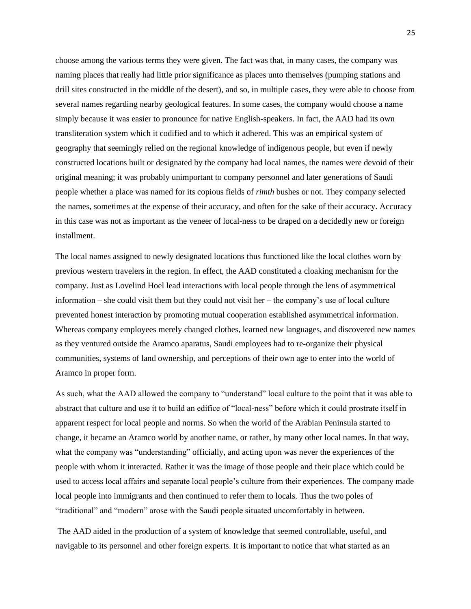choose among the various terms they were given. The fact was that, in many cases, the company was naming places that really had little prior significance as places unto themselves (pumping stations and drill sites constructed in the middle of the desert), and so, in multiple cases, they were able to choose from several names regarding nearby geological features. In some cases, the company would choose a name simply because it was easier to pronounce for native English-speakers. In fact, the AAD had its own transliteration system which it codified and to which it adhered. This was an empirical system of geography that seemingly relied on the regional knowledge of indigenous people, but even if newly constructed locations built or designated by the company had local names, the names were devoid of their original meaning; it was probably unimportant to company personnel and later generations of Saudi people whether a place was named for its copious fields of *rimth* bushes or not. They company selected the names, sometimes at the expense of their accuracy, and often for the sake of their accuracy. Accuracy in this case was not as important as the veneer of local-ness to be draped on a decidedly new or foreign installment.

The local names assigned to newly designated locations thus functioned like the local clothes worn by previous western travelers in the region. In effect, the AAD constituted a cloaking mechanism for the company. Just as Lovelind Hoel lead interactions with local people through the lens of asymmetrical information – she could visit them but they could not visit her – the company's use of local culture prevented honest interaction by promoting mutual cooperation established asymmetrical information. Whereas company employees merely changed clothes, learned new languages, and discovered new names as they ventured outside the Aramco aparatus, Saudi employees had to re-organize their physical communities, systems of land ownership, and perceptions of their own age to enter into the world of Aramco in proper form.

As such, what the AAD allowed the company to "understand" local culture to the point that it was able to abstract that culture and use it to build an edifice of "local-ness" before which it could prostrate itself in apparent respect for local people and norms. So when the world of the Arabian Peninsula started to change, it became an Aramco world by another name, or rather, by many other local names. In that way, what the company was "understanding" officially, and acting upon was never the experiences of the people with whom it interacted. Rather it was the image of those people and their place which could be used to access local affairs and separate local people's culture from their experiences. The company made local people into immigrants and then continued to refer them to locals. Thus the two poles of "traditional" and "modern" arose with the Saudi people situated uncomfortably in between.

The AAD aided in the production of a system of knowledge that seemed controllable, useful, and navigable to its personnel and other foreign experts. It is important to notice that what started as an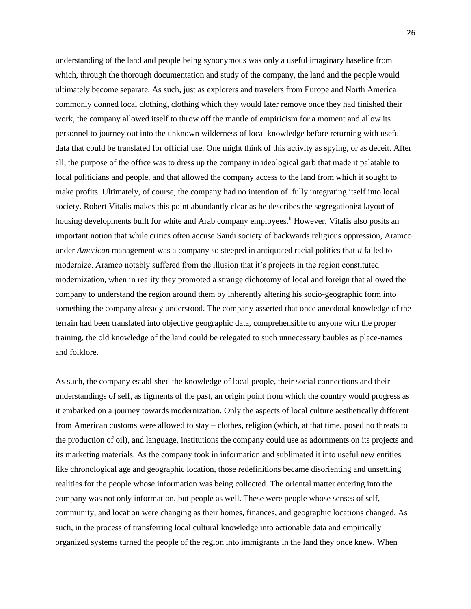understanding of the land and people being synonymous was only a useful imaginary baseline from which, through the thorough documentation and study of the company, the land and the people would ultimately become separate. As such, just as explorers and travelers from Europe and North America commonly donned local clothing, clothing which they would later remove once they had finished their work, the company allowed itself to throw off the mantle of empiricism for a moment and allow its personnel to journey out into the unknown wilderness of local knowledge before returning with useful data that could be translated for official use. One might think of this activity as spying, or as deceit. After all, the purpose of the office was to dress up the company in ideological garb that made it palatable to local politicians and people, and that allowed the company access to the land from which it sought to make profits. Ultimately, of course, the company had no intention of fully integrating itself into local society. Robert Vitalis makes this point abundantly clear as he describes the segregationist layout of housing developments built for white and Arab company employees.<sup>1</sup> However, Vitalis also posits an important notion that while critics often accuse Saudi society of backwards religious oppression, Aramco under *American* management was a company so steeped in antiquated racial politics that *it* failed to modernize. Aramco notably suffered from the illusion that it's projects in the region constituted modernization, when in reality they promoted a strange dichotomy of local and foreign that allowed the company to understand the region around them by inherently altering his socio-geographic form into something the company already understood. The company asserted that once anecdotal knowledge of the terrain had been translated into objective geographic data, comprehensible to anyone with the proper training, the old knowledge of the land could be relegated to such unnecessary baubles as place-names and folklore.

As such, the company established the knowledge of local people, their social connections and their understandings of self, as figments of the past, an origin point from which the country would progress as it embarked on a journey towards modernization. Only the aspects of local culture aesthetically different from American customs were allowed to stay – clothes, religion (which, at that time, posed no threats to the production of oil), and language, institutions the company could use as adornments on its projects and its marketing materials. As the company took in information and sublimated it into useful new entities like chronological age and geographic location, those redefinitions became disorienting and unsettling realities for the people whose information was being collected. The oriental matter entering into the company was not only information, but people as well. These were people whose senses of self, community, and location were changing as their homes, finances, and geographic locations changed. As such, in the process of transferring local cultural knowledge into actionable data and empirically organized systems turned the people of the region into immigrants in the land they once knew. When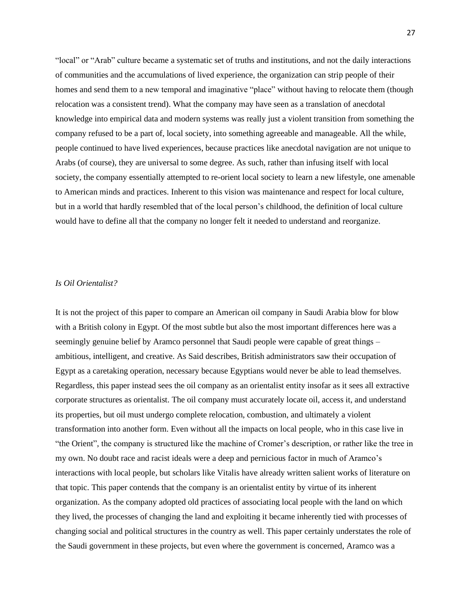"local" or "Arab" culture became a systematic set of truths and institutions, and not the daily interactions of communities and the accumulations of lived experience, the organization can strip people of their homes and send them to a new temporal and imaginative "place" without having to relocate them (though relocation was a consistent trend). What the company may have seen as a translation of anecdotal knowledge into empirical data and modern systems was really just a violent transition from something the company refused to be a part of, local society, into something agreeable and manageable. All the while, people continued to have lived experiences, because practices like anecdotal navigation are not unique to Arabs (of course), they are universal to some degree. As such, rather than infusing itself with local society, the company essentially attempted to re-orient local society to learn a new lifestyle, one amenable to American minds and practices. Inherent to this vision was maintenance and respect for local culture, but in a world that hardly resembled that of the local person's childhood, the definition of local culture would have to define all that the company no longer felt it needed to understand and reorganize.

## *Is Oil Orientalist?*

It is not the project of this paper to compare an American oil company in Saudi Arabia blow for blow with a British colony in Egypt. Of the most subtle but also the most important differences here was a seemingly genuine belief by Aramco personnel that Saudi people were capable of great things – ambitious, intelligent, and creative. As Said describes, British administrators saw their occupation of Egypt as a caretaking operation, necessary because Egyptians would never be able to lead themselves. Regardless, this paper instead sees the oil company as an orientalist entity insofar as it sees all extractive corporate structures as orientalist. The oil company must accurately locate oil, access it, and understand its properties, but oil must undergo complete relocation, combustion, and ultimately a violent transformation into another form. Even without all the impacts on local people, who in this case live in "the Orient", the company is structured like the machine of Cromer's description, or rather like the tree in my own. No doubt race and racist ideals were a deep and pernicious factor in much of Aramco's interactions with local people, but scholars like Vitalis have already written salient works of literature on that topic. This paper contends that the company is an orientalist entity by virtue of its inherent organization. As the company adopted old practices of associating local people with the land on which they lived, the processes of changing the land and exploiting it became inherently tied with processes of changing social and political structures in the country as well. This paper certainly understates the role of the Saudi government in these projects, but even where the government is concerned, Aramco was a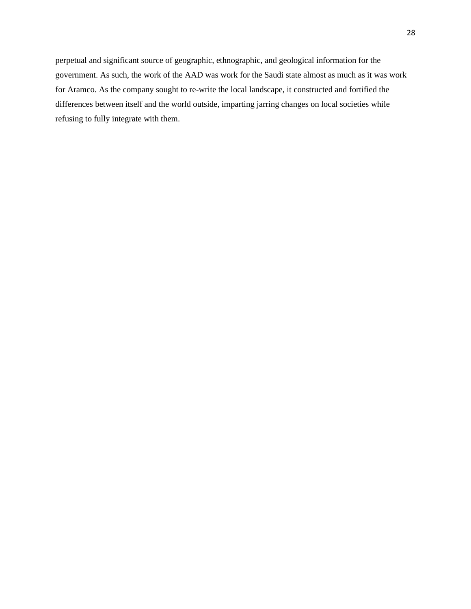perpetual and significant source of geographic, ethnographic, and geological information for the government. As such, the work of the AAD was work for the Saudi state almost as much as it was work for Aramco. As the company sought to re-write the local landscape, it constructed and fortified the differences between itself and the world outside, imparting jarring changes on local societies while refusing to fully integrate with them.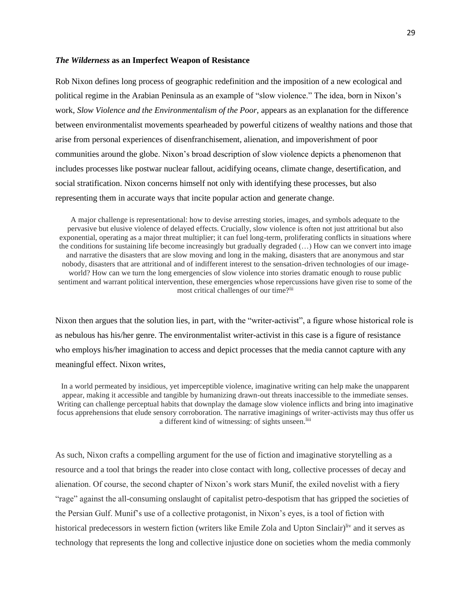#### *The Wilderness* **as an Imperfect Weapon of Resistance**

Rob Nixon defines long process of geographic redefinition and the imposition of a new ecological and political regime in the Arabian Peninsula as an example of "slow violence." The idea, born in Nixon's work, *Slow Violence and the Environmentalism of the Poor,* appears as an explanation for the difference between environmentalist movements spearheaded by powerful citizens of wealthy nations and those that arise from personal experiences of disenfranchisement, alienation, and impoverishment of poor communities around the globe. Nixon's broad description of slow violence depicts a phenomenon that includes processes like postwar nuclear fallout, acidifying oceans, climate change, desertification, and social stratification. Nixon concerns himself not only with identifying these processes, but also representing them in accurate ways that incite popular action and generate change.

A major challenge is representational: how to devise arresting stories, images, and symbols adequate to the pervasive but elusive violence of delayed effects. Crucially, slow violence is often not just attritional but also exponential, operating as a major threat multiplier; it can fuel long-term, proliferating conflicts in situations where the conditions for sustaining life become increasingly but gradually degraded (…) How can we convert into image and narrative the disasters that are slow moving and long in the making, disasters that are anonymous and star nobody, disasters that are attritional and of indifferent interest to the sensation-driven technologies of our imageworld? How can we turn the long emergencies of slow violence into stories dramatic enough to rouse public sentiment and warrant political intervention, these emergencies whose repercussions have given rise to some of the most critical challenges of our time?lii

Nixon then argues that the solution lies, in part, with the "writer-activist", a figure whose historical role is as nebulous has his/her genre. The environmentalist writer-activist in this case is a figure of resistance who employs his/her imagination to access and depict processes that the media cannot capture with any meaningful effect. Nixon writes,

In a world permeated by insidious, yet imperceptible violence, imaginative writing can help make the unapparent appear, making it accessible and tangible by humanizing drawn-out threats inaccessible to the immediate senses. Writing can challenge perceptual habits that downplay the damage slow violence inflicts and bring into imaginative focus apprehensions that elude sensory corroboration. The narrative imaginings of writer-activists may thus offer us a different kind of witnessing: of sights unseen.<sup>liii</sup>

As such, Nixon crafts a compelling argument for the use of fiction and imaginative storytelling as a resource and a tool that brings the reader into close contact with long, collective processes of decay and alienation. Of course, the second chapter of Nixon's work stars Munif, the exiled novelist with a fiery "rage" against the all-consuming onslaught of capitalist petro-despotism that has gripped the societies of the Persian Gulf. Munif's use of a collective protagonist, in Nixon's eyes, is a tool of fiction with historical predecessors in western fiction (writers like Emile Zola and Upton Sinclair)<sup>liv</sup> and it serves as technology that represents the long and collective injustice done on societies whom the media commonly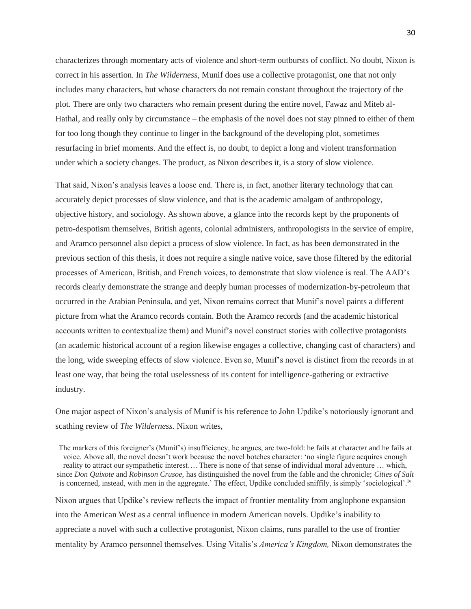characterizes through momentary acts of violence and short-term outbursts of conflict. No doubt, Nixon is correct in his assertion. In *The Wilderness,* Munif does use a collective protagonist, one that not only includes many characters, but whose characters do not remain constant throughout the trajectory of the plot. There are only two characters who remain present during the entire novel, Fawaz and Miteb al-Hathal, and really only by circumstance – the emphasis of the novel does not stay pinned to either of them for too long though they continue to linger in the background of the developing plot, sometimes resurfacing in brief moments. And the effect is, no doubt, to depict a long and violent transformation under which a society changes. The product, as Nixon describes it, is a story of slow violence.

That said, Nixon's analysis leaves a loose end. There is, in fact, another literary technology that can accurately depict processes of slow violence, and that is the academic amalgam of anthropology, objective history, and sociology. As shown above, a glance into the records kept by the proponents of petro-despotism themselves, British agents, colonial administers, anthropologists in the service of empire, and Aramco personnel also depict a process of slow violence. In fact, as has been demonstrated in the previous section of this thesis, it does not require a single native voice, save those filtered by the editorial processes of American, British, and French voices, to demonstrate that slow violence is real. The AAD's records clearly demonstrate the strange and deeply human processes of modernization-by-petroleum that occurred in the Arabian Peninsula, and yet, Nixon remains correct that Munif's novel paints a different picture from what the Aramco records contain. Both the Aramco records (and the academic historical accounts written to contextualize them) and Munif's novel construct stories with collective protagonists (an academic historical account of a region likewise engages a collective, changing cast of characters) and the long, wide sweeping effects of slow violence. Even so, Munif's novel is distinct from the records in at least one way, that being the total uselessness of its content for intelligence-gathering or extractive industry.

One major aspect of Nixon's analysis of Munif is his reference to John Updike's notoriously ignorant and scathing review of *The Wilderness.* Nixon writes,

The markers of this foreigner's (Munif's) insufficiency, he argues, are two-fold: he fails at character and he fails at voice. Above all, the novel doesn't work because the novel botches character: 'no single figure acquires enough reality to attract our sympathetic interest…. There is none of that sense of individual moral adventure … which, since *Don Quixote* and *Robinson Crusoe,* has distinguished the novel from the fable and the chronicle; *Cities of Salt*  is concerned, instead, with men in the aggregate.' The effect, Updike concluded sniffily, is simply 'sociological'.<sup>1v</sup> Nixon argues that Updike's review reflects the impact of frontier mentality from anglophone expansion into the American West as a central influence in modern American novels. Updike's inability to appreciate a novel with such a collective protagonist, Nixon claims, runs parallel to the use of frontier mentality by Aramco personnel themselves. Using Vitalis's *America's Kingdom,* Nixon demonstrates the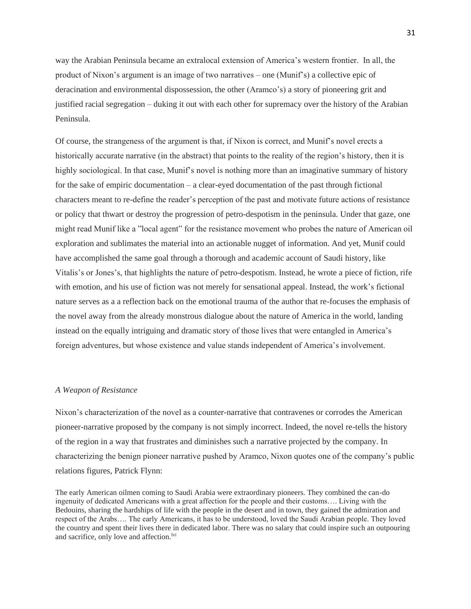way the Arabian Peninsula became an extralocal extension of America's western frontier. In all, the product of Nixon's argument is an image of two narratives – one (Munif's) a collective epic of deracination and environmental dispossession, the other (Aramco's) a story of pioneering grit and justified racial segregation – duking it out with each other for supremacy over the history of the Arabian Peninsula.

Of course, the strangeness of the argument is that, if Nixon is correct, and Munif's novel erects a historically accurate narrative (in the abstract) that points to the reality of the region's history, then it is highly sociological. In that case, Munif's novel is nothing more than an imaginative summary of history for the sake of empiric documentation – a clear-eyed documentation of the past through fictional characters meant to re-define the reader's perception of the past and motivate future actions of resistance or policy that thwart or destroy the progression of petro-despotism in the peninsula. Under that gaze, one might read Munif like a "local agent" for the resistance movement who probes the nature of American oil exploration and sublimates the material into an actionable nugget of information. And yet, Munif could have accomplished the same goal through a thorough and academic account of Saudi history, like Vitalis's or Jones's, that highlights the nature of petro-despotism. Instead, he wrote a piece of fiction, rife with emotion, and his use of fiction was not merely for sensational appeal. Instead, the work's fictional nature serves as a a reflection back on the emotional trauma of the author that re-focuses the emphasis of the novel away from the already monstrous dialogue about the nature of America in the world, landing instead on the equally intriguing and dramatic story of those lives that were entangled in America's foreign adventures, but whose existence and value stands independent of America's involvement.

## *A Weapon of Resistance*

Nixon's characterization of the novel as a counter-narrative that contravenes or corrodes the American pioneer-narrative proposed by the company is not simply incorrect. Indeed, the novel re-tells the history of the region in a way that frustrates and diminishes such a narrative projected by the company. In characterizing the benign pioneer narrative pushed by Aramco, Nixon quotes one of the company's public relations figures, Patrick Flynn:

The early American oilmen coming to Saudi Arabia were extraordinary pioneers. They combined the can-do ingenuity of dedicated Americans with a great affection for the people and their customs…. Living with the Bedouins, sharing the hardships of life with the people in the desert and in town, they gained the admiration and respect of the Arabs…. The early Americans, it has to be understood, loved the Saudi Arabian people. They loved the country and spent their lives there in dedicated labor. There was no salary that could inspire such an outpouring and sacrifice, only love and affection.<sup>lvi</sup>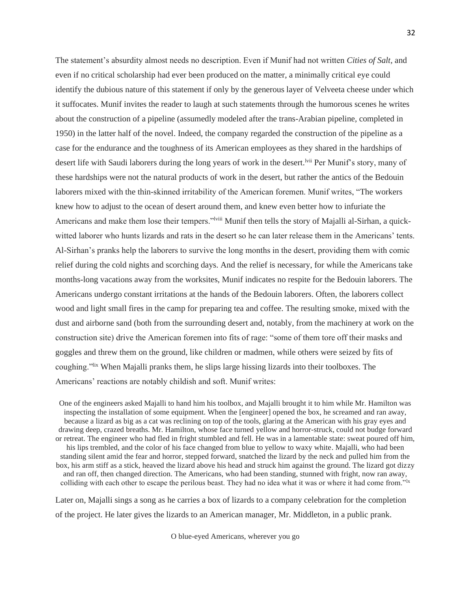The statement's absurdity almost needs no description. Even if Munif had not written *Cities of Salt,* and even if no critical scholarship had ever been produced on the matter, a minimally critical eye could identify the dubious nature of this statement if only by the generous layer of Velveeta cheese under which it suffocates. Munif invites the reader to laugh at such statements through the humorous scenes he writes about the construction of a pipeline (assumedly modeled after the trans-Arabian pipeline, completed in 1950) in the latter half of the novel. Indeed, the company regarded the construction of the pipeline as a case for the endurance and the toughness of its American employees as they shared in the hardships of desert life with Saudi laborers during the long years of work in the desert.<sup>Ivii</sup> Per Munif's story, many of these hardships were not the natural products of work in the desert, but rather the antics of the Bedouin laborers mixed with the thin-skinned irritability of the American foremen. Munif writes, "The workers knew how to adjust to the ocean of desert around them, and knew even better how to infuriate the Americans and make them lose their tempers."<sup>Iviii</sup> Munif then tells the story of Majalli al-Sirhan, a quickwitted laborer who hunts lizards and rats in the desert so he can later release them in the Americans' tents. Al-Sirhan's pranks help the laborers to survive the long months in the desert, providing them with comic relief during the cold nights and scorching days. And the relief is necessary, for while the Americans take months-long vacations away from the worksites, Munif indicates no respite for the Bedouin laborers. The Americans undergo constant irritations at the hands of the Bedouin laborers. Often, the laborers collect wood and light small fires in the camp for preparing tea and coffee. The resulting smoke, mixed with the dust and airborne sand (both from the surrounding desert and, notably, from the machinery at work on the construction site) drive the American foremen into fits of rage: "some of them tore off their masks and goggles and threw them on the ground, like children or madmen, while others were seized by fits of coughing." When Majalli pranks them, he slips large hissing lizards into their toolboxes. The Americans' reactions are notably childish and soft. Munif writes:

One of the engineers asked Majalli to hand him his toolbox, and Majalli brought it to him while Mr. Hamilton was inspecting the installation of some equipment. When the [engineer] opened the box, he screamed and ran away, because a lizard as big as a cat was reclining on top of the tools, glaring at the American with his gray eyes and drawing deep, crazed breaths. Mr. Hamilton, whose face turned yellow and horror-struck, could not budge forward or retreat. The engineer who had fled in fright stumbled and fell. He was in a lamentable state: sweat poured off him, his lips trembled, and the color of his face changed from blue to yellow to waxy white. Majalli, who had been standing silent amid the fear and horror, stepped forward, snatched the lizard by the neck and pulled him from the box, his arm stiff as a stick, heaved the lizard above his head and struck him against the ground. The lizard got dizzy and ran off, then changed direction. The Americans, who had been standing, stunned with fright, now ran away, colliding with each other to escape the perilous beast. They had no idea what it was or where it had come from."<sup>1x</sup>

Later on, Majalli sings a song as he carries a box of lizards to a company celebration for the completion of the project. He later gives the lizards to an American manager, Mr. Middleton, in a public prank.

O blue-eyed Americans, wherever you go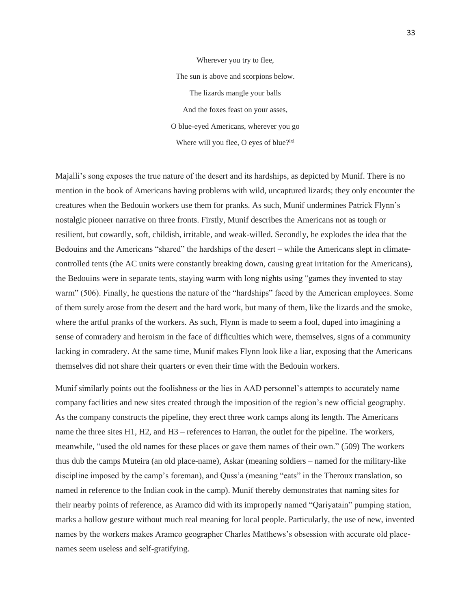Wherever you try to flee, The sun is above and scorpions below. The lizards mangle your balls And the foxes feast on your asses, O blue-eyed Americans, wherever you go Where will you flee, O eyes of blue?<sup>lxi</sup>

Majalli's song exposes the true nature of the desert and its hardships, as depicted by Munif. There is no mention in the book of Americans having problems with wild, uncaptured lizards; they only encounter the creatures when the Bedouin workers use them for pranks. As such, Munif undermines Patrick Flynn's nostalgic pioneer narrative on three fronts. Firstly, Munif describes the Americans not as tough or resilient, but cowardly, soft, childish, irritable, and weak-willed. Secondly, he explodes the idea that the Bedouins and the Americans "shared" the hardships of the desert – while the Americans slept in climatecontrolled tents (the AC units were constantly breaking down, causing great irritation for the Americans), the Bedouins were in separate tents, staying warm with long nights using "games they invented to stay warm" (506). Finally, he questions the nature of the "hardships" faced by the American employees. Some of them surely arose from the desert and the hard work, but many of them, like the lizards and the smoke, where the artful pranks of the workers. As such, Flynn is made to seem a fool, duped into imagining a sense of comradery and heroism in the face of difficulties which were, themselves, signs of a community lacking in comradery. At the same time, Munif makes Flynn look like a liar, exposing that the Americans themselves did not share their quarters or even their time with the Bedouin workers.

Munif similarly points out the foolishness or the lies in AAD personnel's attempts to accurately name company facilities and new sites created through the imposition of the region's new official geography. As the company constructs the pipeline, they erect three work camps along its length. The Americans name the three sites H1, H2, and H3 – references to Harran, the outlet for the pipeline. The workers, meanwhile, "used the old names for these places or gave them names of their own." (509) The workers thus dub the camps Muteira (an old place-name), Askar (meaning soldiers – named for the military-like discipline imposed by the camp's foreman), and Quss'a (meaning "eats" in the Theroux translation, so named in reference to the Indian cook in the camp). Munif thereby demonstrates that naming sites for their nearby points of reference, as Aramco did with its improperly named "Qariyatain" pumping station, marks a hollow gesture without much real meaning for local people. Particularly, the use of new, invented names by the workers makes Aramco geographer Charles Matthews's obsession with accurate old placenames seem useless and self-gratifying.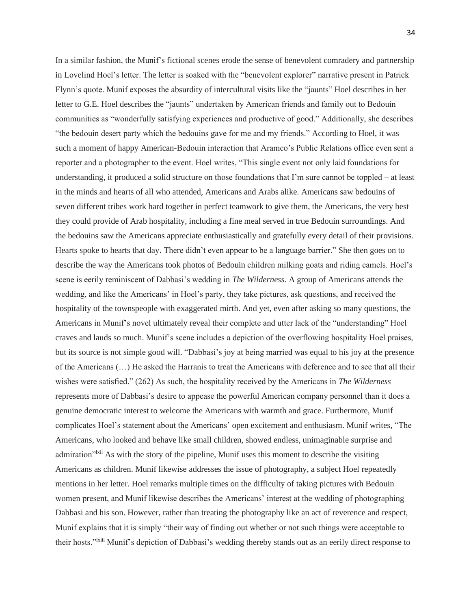In a similar fashion, the Munif's fictional scenes erode the sense of benevolent comradery and partnership in Lovelind Hoel's letter. The letter is soaked with the "benevolent explorer" narrative present in Patrick Flynn's quote. Munif exposes the absurdity of intercultural visits like the "jaunts" Hoel describes in her letter to G.E. Hoel describes the "jaunts" undertaken by American friends and family out to Bedouin communities as "wonderfully satisfying experiences and productive of good." Additionally, she describes "the bedouin desert party which the bedouins gave for me and my friends." According to Hoel, it was such a moment of happy American-Bedouin interaction that Aramco's Public Relations office even sent a reporter and a photographer to the event. Hoel writes, "This single event not only laid foundations for understanding, it produced a solid structure on those foundations that I'm sure cannot be toppled – at least in the minds and hearts of all who attended, Americans and Arabs alike. Americans saw bedouins of seven different tribes work hard together in perfect teamwork to give them, the Americans, the very best they could provide of Arab hospitality, including a fine meal served in true Bedouin surroundings. And the bedouins saw the Americans appreciate enthusiastically and gratefully every detail of their provisions. Hearts spoke to hearts that day. There didn't even appear to be a language barrier." She then goes on to describe the way the Americans took photos of Bedouin children milking goats and riding camels. Hoel's scene is eerily reminiscent of Dabbasi's wedding in *The Wilderness.* A group of Americans attends the wedding, and like the Americans' in Hoel's party, they take pictures, ask questions, and received the hospitality of the townspeople with exaggerated mirth. And yet, even after asking so many questions, the Americans in Munif's novel ultimately reveal their complete and utter lack of the "understanding" Hoel craves and lauds so much. Munif's scene includes a depiction of the overflowing hospitality Hoel praises, but its source is not simple good will. "Dabbasi's joy at being married was equal to his joy at the presence of the Americans (…) He asked the Harranis to treat the Americans with deference and to see that all their wishes were satisfied." (262) As such, the hospitality received by the Americans in *The Wilderness*  represents more of Dabbasi's desire to appease the powerful American company personnel than it does a genuine democratic interest to welcome the Americans with warmth and grace. Furthermore, Munif complicates Hoel's statement about the Americans' open excitement and enthusiasm. Munif writes, "The Americans, who looked and behave like small children, showed endless, unimaginable surprise and admiration<sup>"lxii</sup> As with the story of the pipeline, Munif uses this moment to describe the visiting Americans as children. Munif likewise addresses the issue of photography, a subject Hoel repeatedly mentions in her letter. Hoel remarks multiple times on the difficulty of taking pictures with Bedouin women present, and Munif likewise describes the Americans' interest at the wedding of photographing Dabbasi and his son. However, rather than treating the photography like an act of reverence and respect, Munif explains that it is simply "their way of finding out whether or not such things were acceptable to their hosts."lxiii Munif's depiction of Dabbasi's wedding thereby stands out as an eerily direct response to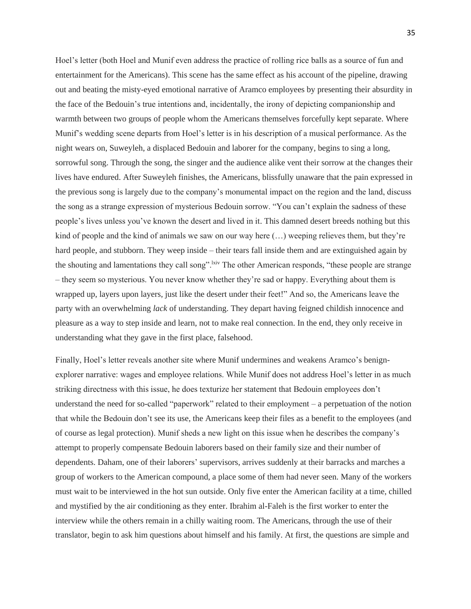Hoel's letter (both Hoel and Munif even address the practice of rolling rice balls as a source of fun and entertainment for the Americans). This scene has the same effect as his account of the pipeline, drawing out and beating the misty-eyed emotional narrative of Aramco employees by presenting their absurdity in the face of the Bedouin's true intentions and, incidentally, the irony of depicting companionship and warmth between two groups of people whom the Americans themselves forcefully kept separate. Where Munif's wedding scene departs from Hoel's letter is in his description of a musical performance. As the night wears on, Suweyleh, a displaced Bedouin and laborer for the company, begins to sing a long, sorrowful song. Through the song, the singer and the audience alike vent their sorrow at the changes their lives have endured. After Suweyleh finishes, the Americans, blissfully unaware that the pain expressed in the previous song is largely due to the company's monumental impact on the region and the land, discuss the song as a strange expression of mysterious Bedouin sorrow. "You can't explain the sadness of these people's lives unless you've known the desert and lived in it. This damned desert breeds nothing but this kind of people and the kind of animals we saw on our way here  $(\ldots)$  weeping relieves them, but they're hard people, and stubborn. They weep inside – their tears fall inside them and are extinguished again by the shouting and lamentations they call song". Ixiv The other American responds, "these people are strange – they seem so mysterious. You never know whether they're sad or happy. Everything about them is wrapped up, layers upon layers, just like the desert under their feet!" And so, the Americans leave the party with an overwhelming *lack* of understanding. They depart having feigned childish innocence and pleasure as a way to step inside and learn, not to make real connection. In the end, they only receive in understanding what they gave in the first place, falsehood.

Finally, Hoel's letter reveals another site where Munif undermines and weakens Aramco's benignexplorer narrative: wages and employee relations. While Munif does not address Hoel's letter in as much striking directness with this issue, he does texturize her statement that Bedouin employees don't understand the need for so-called "paperwork" related to their employment – a perpetuation of the notion that while the Bedouin don't see its use, the Americans keep their files as a benefit to the employees (and of course as legal protection). Munif sheds a new light on this issue when he describes the company's attempt to properly compensate Bedouin laborers based on their family size and their number of dependents. Daham, one of their laborers' supervisors, arrives suddenly at their barracks and marches a group of workers to the American compound, a place some of them had never seen. Many of the workers must wait to be interviewed in the hot sun outside. Only five enter the American facility at a time, chilled and mystified by the air conditioning as they enter. Ibrahim al-Faleh is the first worker to enter the interview while the others remain in a chilly waiting room. The Americans, through the use of their translator, begin to ask him questions about himself and his family. At first, the questions are simple and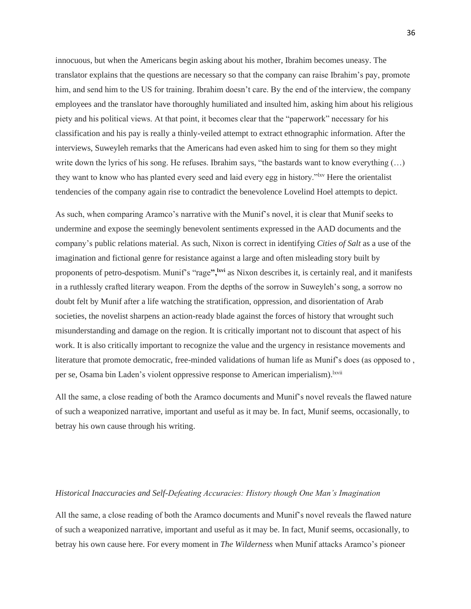innocuous, but when the Americans begin asking about his mother, Ibrahim becomes uneasy. The translator explains that the questions are necessary so that the company can raise Ibrahim's pay, promote him, and send him to the US for training. Ibrahim doesn't care. By the end of the interview, the company employees and the translator have thoroughly humiliated and insulted him, asking him about his religious piety and his political views. At that point, it becomes clear that the "paperwork" necessary for his classification and his pay is really a thinly-veiled attempt to extract ethnographic information. After the interviews, Suweyleh remarks that the Americans had even asked him to sing for them so they might write down the lyrics of his song. He refuses. Ibrahim says, "the bastards want to know everything  $(...)$ they want to know who has planted every seed and laid every egg in history."<sup>Ixv</sup> Here the orientalist tendencies of the company again rise to contradict the benevolence Lovelind Hoel attempts to depict.

As such, when comparing Aramco's narrative with the Munif's novel, it is clear that Munif seeks to undermine and expose the seemingly benevolent sentiments expressed in the AAD documents and the company's public relations material. As such, Nixon is correct in identifying *Cities of Salt* as a use of the imagination and fictional genre for resistance against a large and often misleading story built by proponents of petro-despotism. Munif's "rage**",lxvi** as Nixon describes it, is certainly real, and it manifests in a ruthlessly crafted literary weapon. From the depths of the sorrow in Suweyleh's song, a sorrow no doubt felt by Munif after a life watching the stratification, oppression, and disorientation of Arab societies, the novelist sharpens an action-ready blade against the forces of history that wrought such misunderstanding and damage on the region. It is critically important not to discount that aspect of his work. It is also critically important to recognize the value and the urgency in resistance movements and literature that promote democratic, free-minded validations of human life as Munif's does (as opposed to, per se, Osama bin Laden's violent oppressive response to American imperialism).<sup>lxvii</sup>

All the same, a close reading of both the Aramco documents and Munif's novel reveals the flawed nature of such a weaponized narrative, important and useful as it may be. In fact, Munif seems, occasionally, to betray his own cause through his writing.

#### *Historical Inaccuracies and Self-Defeating Accuracies: History though One Man's Imagination*

All the same, a close reading of both the Aramco documents and Munif's novel reveals the flawed nature of such a weaponized narrative, important and useful as it may be. In fact, Munif seems, occasionally, to betray his own cause here. For every moment in *The Wilderness* when Munif attacks Aramco's pioneer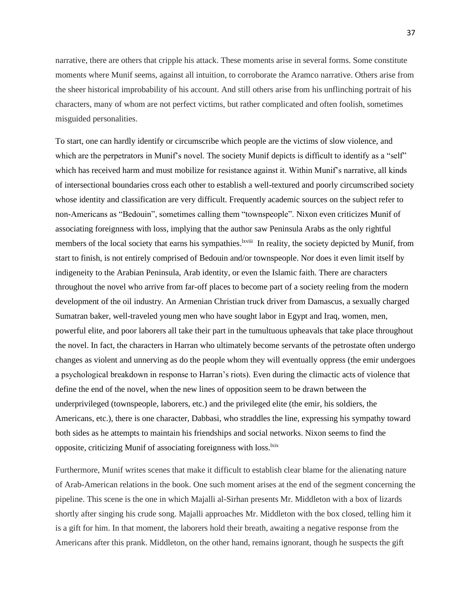narrative, there are others that cripple his attack. These moments arise in several forms. Some constitute moments where Munif seems, against all intuition, to corroborate the Aramco narrative. Others arise from the sheer historical improbability of his account. And still others arise from his unflinching portrait of his characters, many of whom are not perfect victims, but rather complicated and often foolish, sometimes misguided personalities.

To start, one can hardly identify or circumscribe which people are the victims of slow violence, and which are the perpetrators in Munif's novel. The society Munif depicts is difficult to identify as a "self" which has received harm and must mobilize for resistance against it. Within Munif's narrative, all kinds of intersectional boundaries cross each other to establish a well-textured and poorly circumscribed society whose identity and classification are very difficult. Frequently academic sources on the subject refer to non-Americans as "Bedouin", sometimes calling them "townspeople". Nixon even criticizes Munif of associating foreignness with loss, implying that the author saw Peninsula Arabs as the only rightful members of the local society that earns his sympathies.<sup>lxviii</sup> In reality, the society depicted by Munif, from start to finish, is not entirely comprised of Bedouin and/or townspeople. Nor does it even limit itself by indigeneity to the Arabian Peninsula, Arab identity, or even the Islamic faith. There are characters throughout the novel who arrive from far-off places to become part of a society reeling from the modern development of the oil industry. An Armenian Christian truck driver from Damascus, a sexually charged Sumatran baker, well-traveled young men who have sought labor in Egypt and Iraq, women, men, powerful elite, and poor laborers all take their part in the tumultuous upheavals that take place throughout the novel. In fact, the characters in Harran who ultimately become servants of the petrostate often undergo changes as violent and unnerving as do the people whom they will eventually oppress (the emir undergoes a psychological breakdown in response to Harran's riots). Even during the climactic acts of violence that define the end of the novel, when the new lines of opposition seem to be drawn between the underprivileged (townspeople, laborers, etc.) and the privileged elite (the emir, his soldiers, the Americans, etc.), there is one character, Dabbasi, who straddles the line, expressing his sympathy toward both sides as he attempts to maintain his friendships and social networks. Nixon seems to find the opposite, criticizing Munif of associating foreignness with loss.<sup>lxix</sup>

Furthermore, Munif writes scenes that make it difficult to establish clear blame for the alienating nature of Arab-American relations in the book. One such moment arises at the end of the segment concerning the pipeline. This scene is the one in which Majalli al-Sirhan presents Mr. Middleton with a box of lizards shortly after singing his crude song. Majalli approaches Mr. Middleton with the box closed, telling him it is a gift for him. In that moment, the laborers hold their breath, awaiting a negative response from the Americans after this prank. Middleton, on the other hand, remains ignorant, though he suspects the gift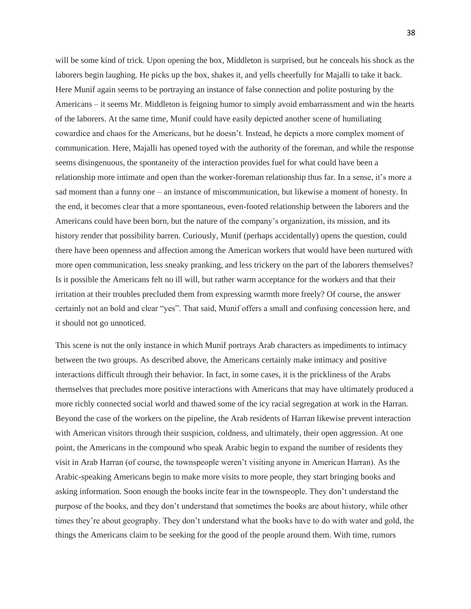will be some kind of trick. Upon opening the box, Middleton is surprised, but he conceals his shock as the laborers begin laughing. He picks up the box, shakes it, and yells cheerfully for Majalli to take it back. Here Munif again seems to be portraying an instance of false connection and polite posturing by the Americans – it seems Mr. Middleton is feigning humor to simply avoid embarrassment and win the hearts of the laborers. At the same time, Munif could have easily depicted another scene of humiliating cowardice and chaos for the Americans, but he doesn't. Instead, he depicts a more complex moment of communication. Here, Majalli has opened toyed with the authority of the foreman, and while the response seems disingenuous, the spontaneity of the interaction provides fuel for what could have been a relationship more intimate and open than the worker-foreman relationship thus far. In a sense, it's more a sad moment than a funny one – an instance of miscommunication, but likewise a moment of honesty. In the end, it becomes clear that a more spontaneous, even-footed relationship between the laborers and the Americans could have been born, but the nature of the company's organization, its mission, and its history render that possibility barren. Curiously, Munif (perhaps accidentally) opens the question, could there have been openness and affection among the American workers that would have been nurtured with more open communication, less sneaky pranking, and less trickery on the part of the laborers themselves? Is it possible the Americans felt no ill will, but rather warm acceptance for the workers and that their irritation at their troubles precluded them from expressing warmth more freely? Of course, the answer certainly not an bold and clear "yes". That said, Munif offers a small and confusing concession here, and it should not go unnoticed.

This scene is not the only instance in which Munif portrays Arab characters as impediments to intimacy between the two groups. As described above, the Americans certainly make intimacy and positive interactions difficult through their behavior. In fact, in some cases, it is the prickliness of the Arabs themselves that precludes more positive interactions with Americans that may have ultimately produced a more richly connected social world and thawed some of the icy racial segregation at work in the Harran. Beyond the case of the workers on the pipeline, the Arab residents of Harran likewise prevent interaction with American visitors through their suspicion, coldness, and ultimately, their open aggression. At one point, the Americans in the compound who speak Arabic begin to expand the number of residents they visit in Arab Harran (of course, the townspeople weren't visiting anyone in American Harran). As the Arabic-speaking Americans begin to make more visits to more people, they start bringing books and asking information. Soon enough the books incite fear in the townspeople. They don't understand the purpose of the books, and they don't understand that sometimes the books are about history, while other times they're about geography. They don't understand what the books have to do with water and gold, the things the Americans claim to be seeking for the good of the people around them. With time, rumors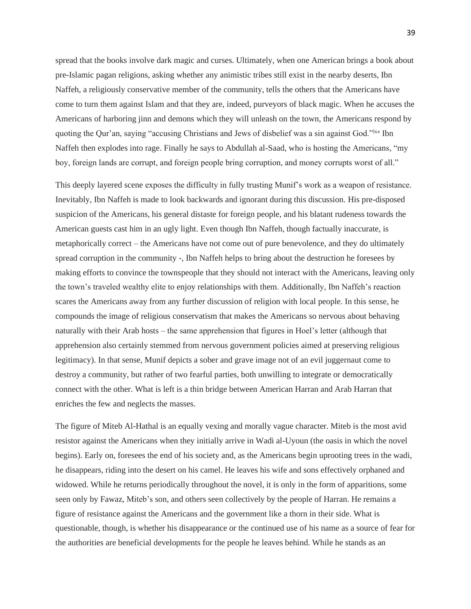spread that the books involve dark magic and curses. Ultimately, when one American brings a book about pre-Islamic pagan religions, asking whether any animistic tribes still exist in the nearby deserts, Ibn Naffeh, a religiously conservative member of the community, tells the others that the Americans have come to turn them against Islam and that they are, indeed, purveyors of black magic. When he accuses the Americans of harboring jinn and demons which they will unleash on the town, the Americans respond by quoting the Qur'an, saying "accusing Christians and Jews of disbelief was a sin against God."<sup>lxx</sup> Ibn Naffeh then explodes into rage. Finally he says to Abdullah al-Saad, who is hosting the Americans, "my boy, foreign lands are corrupt, and foreign people bring corruption, and money corrupts worst of all."

This deeply layered scene exposes the difficulty in fully trusting Munif's work as a weapon of resistance. Inevitably, Ibn Naffeh is made to look backwards and ignorant during this discussion. His pre-disposed suspicion of the Americans, his general distaste for foreign people, and his blatant rudeness towards the American guests cast him in an ugly light. Even though Ibn Naffeh, though factually inaccurate, is metaphorically correct – the Americans have not come out of pure benevolence, and they do ultimately spread corruption in the community -, Ibn Naffeh helps to bring about the destruction he foresees by making efforts to convince the townspeople that they should not interact with the Americans, leaving only the town's traveled wealthy elite to enjoy relationships with them. Additionally, Ibn Naffeh's reaction scares the Americans away from any further discussion of religion with local people. In this sense, he compounds the image of religious conservatism that makes the Americans so nervous about behaving naturally with their Arab hosts – the same apprehension that figures in Hoel's letter (although that apprehension also certainly stemmed from nervous government policies aimed at preserving religious legitimacy). In that sense, Munif depicts a sober and grave image not of an evil juggernaut come to destroy a community, but rather of two fearful parties, both unwilling to integrate or democratically connect with the other. What is left is a thin bridge between American Harran and Arab Harran that enriches the few and neglects the masses.

The figure of Miteb Al-Hathal is an equally vexing and morally vague character. Miteb is the most avid resistor against the Americans when they initially arrive in Wadi al-Uyoun (the oasis in which the novel begins). Early on, foresees the end of his society and, as the Americans begin uprooting trees in the wadi, he disappears, riding into the desert on his camel. He leaves his wife and sons effectively orphaned and widowed. While he returns periodically throughout the novel, it is only in the form of apparitions, some seen only by Fawaz, Miteb's son, and others seen collectively by the people of Harran. He remains a figure of resistance against the Americans and the government like a thorn in their side. What is questionable, though, is whether his disappearance or the continued use of his name as a source of fear for the authorities are beneficial developments for the people he leaves behind. While he stands as an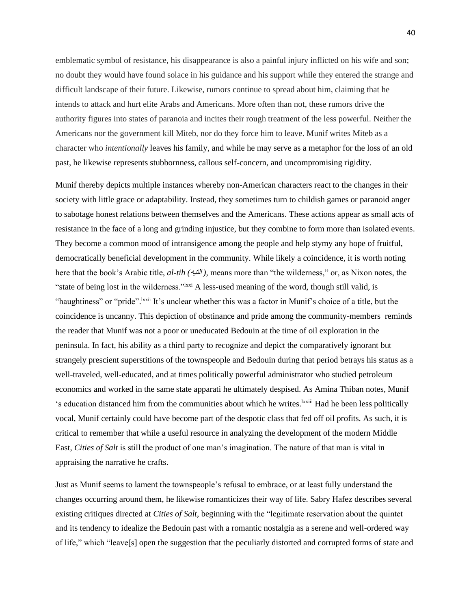emblematic symbol of resistance, his disappearance is also a painful injury inflicted on his wife and son; no doubt they would have found solace in his guidance and his support while they entered the strange and difficult landscape of their future. Likewise, rumors continue to spread about him, claiming that he intends to attack and hurt elite Arabs and Americans. More often than not, these rumors drive the authority figures into states of paranoia and incites their rough treatment of the less powerful. Neither the Americans nor the government kill Miteb, nor do they force him to leave. Munif writes Miteb as a character who *intentionally* leaves his family, and while he may serve as a metaphor for the loss of an old past, he likewise represents stubbornness, callous self-concern, and uncompromising rigidity.

Munif thereby depicts multiple instances whereby non-American characters react to the changes in their society with little grace or adaptability. Instead, they sometimes turn to childish games or paranoid anger to sabotage honest relations between themselves and the Americans. These actions appear as small acts of resistance in the face of a long and grinding injustice, but they combine to form more than isolated events. They become a common mood of intransigence among the people and help stymy any hope of fruitful, democratically beneficial development in the community. While likely a coincidence, it is worth noting here that the book's Arabic title, *al-tih (*التيه*( ,* means more than "the wilderness," or, as Nixon notes, the "state of being lost in the wilderness."lxxi A less-used meaning of the word, though still valid, is "haughtiness" or "pride". <sup>Ixxii</sup> It's unclear whether this was a factor in Munif's choice of a title, but the coincidence is uncanny. This depiction of obstinance and pride among the community-members reminds the reader that Munif was not a poor or uneducated Bedouin at the time of oil exploration in the peninsula. In fact, his ability as a third party to recognize and depict the comparatively ignorant but strangely prescient superstitions of the townspeople and Bedouin during that period betrays his status as a well-traveled, well-educated, and at times politically powerful administrator who studied petroleum economics and worked in the same state apparati he ultimately despised. As Amina Thiban notes, Munif 's education distanced him from the communities about which he writes.lxxiii Had he been less politically vocal, Munif certainly could have become part of the despotic class that fed off oil profits. As such, it is critical to remember that while a useful resource in analyzing the development of the modern Middle East, *Cities of Salt* is still the product of one man's imagination. The nature of that man is vital in appraising the narrative he crafts.

Just as Munif seems to lament the townspeople's refusal to embrace, or at least fully understand the changes occurring around them, he likewise romanticizes their way of life. Sabry Hafez describes several existing critiques directed at *Cities of Salt*, beginning with the "legitimate reservation about the quintet and its tendency to idealize the Bedouin past with a romantic nostalgia as a serene and well-ordered way of life," which "leave[s] open the suggestion that the peculiarly distorted and corrupted forms of state and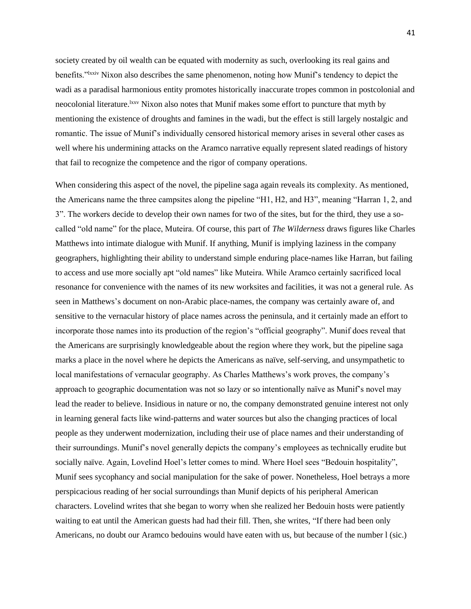society created by oil wealth can be equated with modernity as such, overlooking its real gains and benefits."lxxiv Nixon also describes the same phenomenon, noting how Munif's tendency to depict the wadi as a paradisal harmonious entity promotes historically inaccurate tropes common in postcolonial and neocolonial literature.<sup>lxxv</sup> Nixon also notes that Munif makes some effort to puncture that myth by mentioning the existence of droughts and famines in the wadi, but the effect is still largely nostalgic and romantic. The issue of Munif's individually censored historical memory arises in several other cases as well where his undermining attacks on the Aramco narrative equally represent slated readings of history that fail to recognize the competence and the rigor of company operations.

When considering this aspect of the novel, the pipeline saga again reveals its complexity. As mentioned, the Americans name the three campsites along the pipeline "H1, H2, and H3", meaning "Harran 1, 2, and 3". The workers decide to develop their own names for two of the sites, but for the third, they use a socalled "old name" for the place, Muteira. Of course, this part of *The Wilderness* draws figures like Charles Matthews into intimate dialogue with Munif. If anything, Munif is implying laziness in the company geographers, highlighting their ability to understand simple enduring place-names like Harran, but failing to access and use more socially apt "old names" like Muteira. While Aramco certainly sacrificed local resonance for convenience with the names of its new worksites and facilities, it was not a general rule. As seen in Matthews's document on non-Arabic place-names, the company was certainly aware of, and sensitive to the vernacular history of place names across the peninsula, and it certainly made an effort to incorporate those names into its production of the region's "official geography". Munif does reveal that the Americans are surprisingly knowledgeable about the region where they work, but the pipeline saga marks a place in the novel where he depicts the Americans as naïve, self-serving, and unsympathetic to local manifestations of vernacular geography. As Charles Matthews's work proves, the company's approach to geographic documentation was not so lazy or so intentionally naïve as Munif's novel may lead the reader to believe. Insidious in nature or no, the company demonstrated genuine interest not only in learning general facts like wind-patterns and water sources but also the changing practices of local people as they underwent modernization, including their use of place names and their understanding of their surroundings. Munif's novel generally depicts the company's employees as technically erudite but socially naïve. Again, Lovelind Hoel's letter comes to mind. Where Hoel sees "Bedouin hospitality", Munif sees sycophancy and social manipulation for the sake of power. Nonetheless, Hoel betrays a more perspicacious reading of her social surroundings than Munif depicts of his peripheral American characters. Lovelind writes that she began to worry when she realized her Bedouin hosts were patiently waiting to eat until the American guests had had their fill. Then, she writes, "If there had been only Americans, no doubt our Aramco bedouins would have eaten with us, but because of the number l (sic.)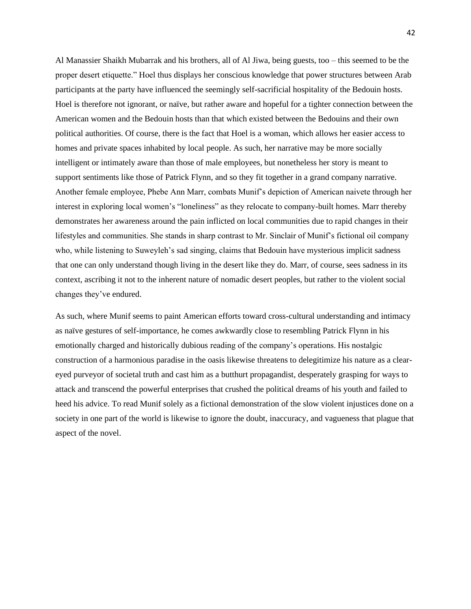Al Manassier Shaikh Mubarrak and his brothers, all of Al Jiwa, being guests, too – this seemed to be the proper desert etiquette." Hoel thus displays her conscious knowledge that power structures between Arab participants at the party have influenced the seemingly self-sacrificial hospitality of the Bedouin hosts. Hoel is therefore not ignorant, or naïve, but rather aware and hopeful for a tighter connection between the American women and the Bedouin hosts than that which existed between the Bedouins and their own political authorities. Of course, there is the fact that Hoel is a woman, which allows her easier access to homes and private spaces inhabited by local people. As such, her narrative may be more socially intelligent or intimately aware than those of male employees, but nonetheless her story is meant to support sentiments like those of Patrick Flynn, and so they fit together in a grand company narrative. Another female employee, Phebe Ann Marr, combats Munif's depiction of American naivete through her interest in exploring local women's "loneliness" as they relocate to company-built homes. Marr thereby demonstrates her awareness around the pain inflicted on local communities due to rapid changes in their lifestyles and communities. She stands in sharp contrast to Mr. Sinclair of Munif's fictional oil company who, while listening to Suweyleh's sad singing, claims that Bedouin have mysterious implicit sadness that one can only understand though living in the desert like they do. Marr, of course, sees sadness in its context, ascribing it not to the inherent nature of nomadic desert peoples, but rather to the violent social changes they've endured.

As such, where Munif seems to paint American efforts toward cross-cultural understanding and intimacy as naïve gestures of self-importance, he comes awkwardly close to resembling Patrick Flynn in his emotionally charged and historically dubious reading of the company's operations. His nostalgic construction of a harmonious paradise in the oasis likewise threatens to delegitimize his nature as a cleareyed purveyor of societal truth and cast him as a butthurt propagandist, desperately grasping for ways to attack and transcend the powerful enterprises that crushed the political dreams of his youth and failed to heed his advice. To read Munif solely as a fictional demonstration of the slow violent injustices done on a society in one part of the world is likewise to ignore the doubt, inaccuracy, and vagueness that plague that aspect of the novel.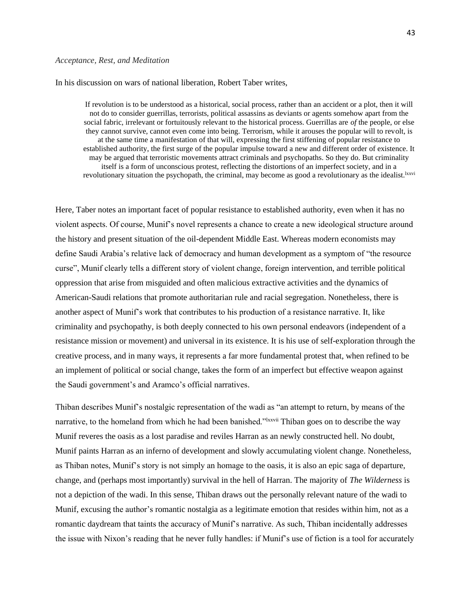#### *Acceptance, Rest, and Meditation*

In his discussion on wars of national liberation, Robert Taber writes,

If revolution is to be understood as a historical, social process, rather than an accident or a plot, then it will not do to consider guerrillas, terrorists, political assassins as deviants or agents somehow apart from the social fabric, irrelevant or fortuitously relevant to the historical process. Guerrillas are *of* the people, or else they cannot survive, cannot even come into being. Terrorism, while it arouses the popular will to revolt, is at the same time a manifestation of that will, expressing the first stiffening of popular resistance to established authority, the first surge of the popular impulse toward a new and different order of existence. It may be argued that terroristic movements attract criminals and psychopaths. So they do. But criminality itself is a form of unconscious protest, reflecting the distortions of an imperfect society, and in a revolutionary situation the psychopath, the criminal, may become as good a revolutionary as the idealist.<sup>lxxvi</sup>

Here, Taber notes an important facet of popular resistance to established authority, even when it has no violent aspects. Of course, Munif's novel represents a chance to create a new ideological structure around the history and present situation of the oil-dependent Middle East. Whereas modern economists may define Saudi Arabia's relative lack of democracy and human development as a symptom of "the resource curse", Munif clearly tells a different story of violent change, foreign intervention, and terrible political oppression that arise from misguided and often malicious extractive activities and the dynamics of American-Saudi relations that promote authoritarian rule and racial segregation. Nonetheless, there is another aspect of Munif's work that contributes to his production of a resistance narrative. It, like criminality and psychopathy, is both deeply connected to his own personal endeavors (independent of a resistance mission or movement) and universal in its existence. It is his use of self-exploration through the creative process, and in many ways, it represents a far more fundamental protest that, when refined to be an implement of political or social change, takes the form of an imperfect but effective weapon against the Saudi government's and Aramco's official narratives.

Thiban describes Munif's nostalgic representation of the wadi as "an attempt to return, by means of the narrative, to the homeland from which he had been banished."<sup>Ixxvii</sup> Thiban goes on to describe the way Munif reveres the oasis as a lost paradise and reviles Harran as an newly constructed hell. No doubt, Munif paints Harran as an inferno of development and slowly accumulating violent change. Nonetheless, as Thiban notes, Munif's story is not simply an homage to the oasis, it is also an epic saga of departure, change, and (perhaps most importantly) survival in the hell of Harran. The majority of *The Wilderness* is not a depiction of the wadi. In this sense, Thiban draws out the personally relevant nature of the wadi to Munif, excusing the author's romantic nostalgia as a legitimate emotion that resides within him, not as a romantic daydream that taints the accuracy of Munif's narrative. As such, Thiban incidentally addresses the issue with Nixon's reading that he never fully handles: if Munif's use of fiction is a tool for accurately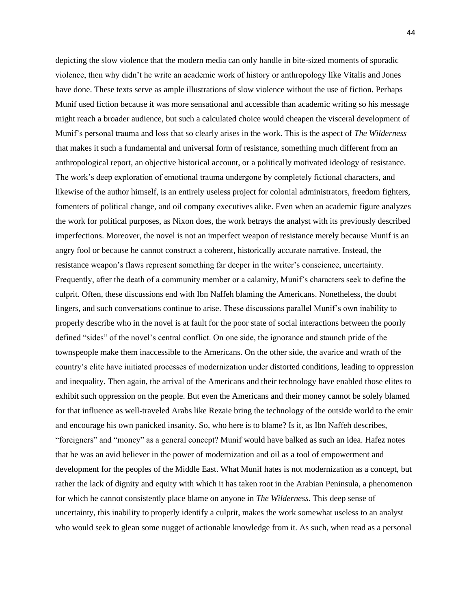depicting the slow violence that the modern media can only handle in bite-sized moments of sporadic violence, then why didn't he write an academic work of history or anthropology like Vitalis and Jones have done. These texts serve as ample illustrations of slow violence without the use of fiction. Perhaps Munif used fiction because it was more sensational and accessible than academic writing so his message might reach a broader audience, but such a calculated choice would cheapen the visceral development of Munif's personal trauma and loss that so clearly arises in the work. This is the aspect of *The Wilderness*  that makes it such a fundamental and universal form of resistance, something much different from an anthropological report, an objective historical account, or a politically motivated ideology of resistance. The work's deep exploration of emotional trauma undergone by completely fictional characters, and likewise of the author himself, is an entirely useless project for colonial administrators, freedom fighters, fomenters of political change, and oil company executives alike. Even when an academic figure analyzes the work for political purposes, as Nixon does, the work betrays the analyst with its previously described imperfections. Moreover, the novel is not an imperfect weapon of resistance merely because Munif is an angry fool or because he cannot construct a coherent, historically accurate narrative. Instead, the resistance weapon's flaws represent something far deeper in the writer's conscience, uncertainty. Frequently, after the death of a community member or a calamity, Munif's characters seek to define the culprit. Often, these discussions end with Ibn Naffeh blaming the Americans. Nonetheless, the doubt lingers, and such conversations continue to arise. These discussions parallel Munif's own inability to properly describe who in the novel is at fault for the poor state of social interactions between the poorly defined "sides" of the novel's central conflict. On one side, the ignorance and staunch pride of the townspeople make them inaccessible to the Americans. On the other side, the avarice and wrath of the country's elite have initiated processes of modernization under distorted conditions, leading to oppression and inequality. Then again, the arrival of the Americans and their technology have enabled those elites to exhibit such oppression on the people. But even the Americans and their money cannot be solely blamed for that influence as well-traveled Arabs like Rezaie bring the technology of the outside world to the emir and encourage his own panicked insanity. So, who here is to blame? Is it, as Ibn Naffeh describes, "foreigners" and "money" as a general concept? Munif would have balked as such an idea. Hafez notes that he was an avid believer in the power of modernization and oil as a tool of empowerment and development for the peoples of the Middle East. What Munif hates is not modernization as a concept, but rather the lack of dignity and equity with which it has taken root in the Arabian Peninsula, a phenomenon for which he cannot consistently place blame on anyone in *The Wilderness.* This deep sense of uncertainty, this inability to properly identify a culprit, makes the work somewhat useless to an analyst who would seek to glean some nugget of actionable knowledge from it. As such, when read as a personal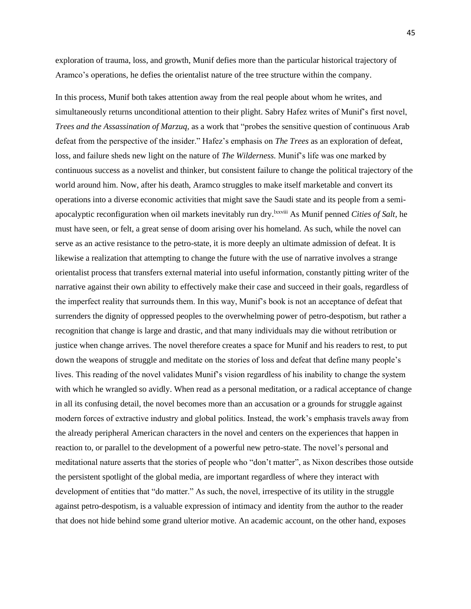exploration of trauma, loss, and growth, Munif defies more than the particular historical trajectory of Aramco's operations, he defies the orientalist nature of the tree structure within the company.

In this process, Munif both takes attention away from the real people about whom he writes, and simultaneously returns unconditional attention to their plight. Sabry Hafez writes of Munif's first novel, *Trees and the Assassination of Marzuq,* as a work that "probes the sensitive question of continuous Arab defeat from the perspective of the insider." Hafez's emphasis on *The Trees* as an exploration of defeat, loss, and failure sheds new light on the nature of *The Wilderness.* Munif's life was one marked by continuous success as a novelist and thinker, but consistent failure to change the political trajectory of the world around him. Now, after his death, Aramco struggles to make itself marketable and convert its operations into a diverse economic activities that might save the Saudi state and its people from a semiapocalyptic reconfiguration when oil markets inevitably run dry.lxxviii As Munif penned *Cities of Salt,* he must have seen, or felt, a great sense of doom arising over his homeland. As such, while the novel can serve as an active resistance to the petro-state, it is more deeply an ultimate admission of defeat. It is likewise a realization that attempting to change the future with the use of narrative involves a strange orientalist process that transfers external material into useful information, constantly pitting writer of the narrative against their own ability to effectively make their case and succeed in their goals, regardless of the imperfect reality that surrounds them. In this way, Munif's book is not an acceptance of defeat that surrenders the dignity of oppressed peoples to the overwhelming power of petro-despotism, but rather a recognition that change is large and drastic, and that many individuals may die without retribution or justice when change arrives. The novel therefore creates a space for Munif and his readers to rest, to put down the weapons of struggle and meditate on the stories of loss and defeat that define many people's lives. This reading of the novel validates Munif's vision regardless of his inability to change the system with which he wrangled so avidly. When read as a personal meditation, or a radical acceptance of change in all its confusing detail, the novel becomes more than an accusation or a grounds for struggle against modern forces of extractive industry and global politics. Instead, the work's emphasis travels away from the already peripheral American characters in the novel and centers on the experiences that happen in reaction to, or parallel to the development of a powerful new petro-state. The novel's personal and meditational nature asserts that the stories of people who "don't matter", as Nixon describes those outside the persistent spotlight of the global media, are important regardless of where they interact with development of entities that "do matter." As such, the novel, irrespective of its utility in the struggle against petro-despotism, is a valuable expression of intimacy and identity from the author to the reader that does not hide behind some grand ulterior motive. An academic account, on the other hand, exposes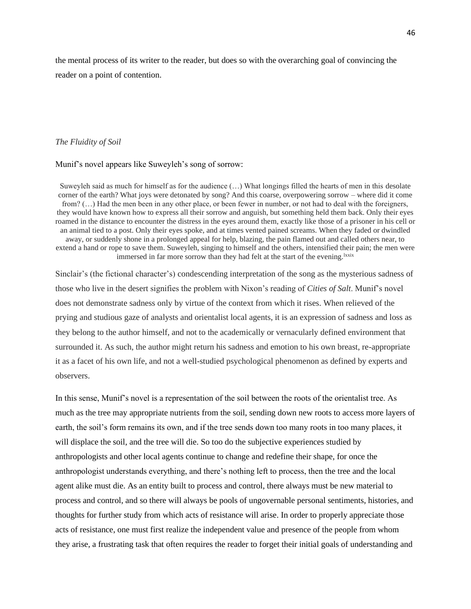the mental process of its writer to the reader, but does so with the overarching goal of convincing the reader on a point of contention.

## *The Fluidity of Soil*

## Munif's novel appears like Suweyleh's song of sorrow:

Suweyleh said as much for himself as for the audience (…) What longings filled the hearts of men in this desolate corner of the earth? What joys were detonated by song? And this coarse, overpowering sorrow – where did it come from? (…) Had the men been in any other place, or been fewer in number, or not had to deal with the foreigners, they would have known how to express all their sorrow and anguish, but something held them back. Only their eyes roamed in the distance to encounter the distress in the eyes around them, exactly like those of a prisoner in his cell or an animal tied to a post. Only their eyes spoke, and at times vented pained screams. When they faded or dwindled away, or suddenly shone in a prolonged appeal for help, blazing, the pain flamed out and called others near, to extend a hand or rope to save them. Suweyleh, singing to himself and the others, intensified their pain; the men were immersed in far more sorrow than they had felt at the start of the evening.<sup>1xxix</sup>

Sinclair's (the fictional character's) condescending interpretation of the song as the mysterious sadness of those who live in the desert signifies the problem with Nixon's reading of *Cities of Salt*. Munif's novel does not demonstrate sadness only by virtue of the context from which it rises. When relieved of the prying and studious gaze of analysts and orientalist local agents, it is an expression of sadness and loss as they belong to the author himself, and not to the academically or vernacularly defined environment that surrounded it. As such, the author might return his sadness and emotion to his own breast, re-appropriate it as a facet of his own life, and not a well-studied psychological phenomenon as defined by experts and observers.

In this sense, Munif's novel is a representation of the soil between the roots of the orientalist tree. As much as the tree may appropriate nutrients from the soil, sending down new roots to access more layers of earth, the soil's form remains its own, and if the tree sends down too many roots in too many places, it will displace the soil, and the tree will die. So too do the subjective experiences studied by anthropologists and other local agents continue to change and redefine their shape, for once the anthropologist understands everything, and there's nothing left to process, then the tree and the local agent alike must die. As an entity built to process and control, there always must be new material to process and control, and so there will always be pools of ungovernable personal sentiments, histories, and thoughts for further study from which acts of resistance will arise. In order to properly appreciate those acts of resistance, one must first realize the independent value and presence of the people from whom they arise, a frustrating task that often requires the reader to forget their initial goals of understanding and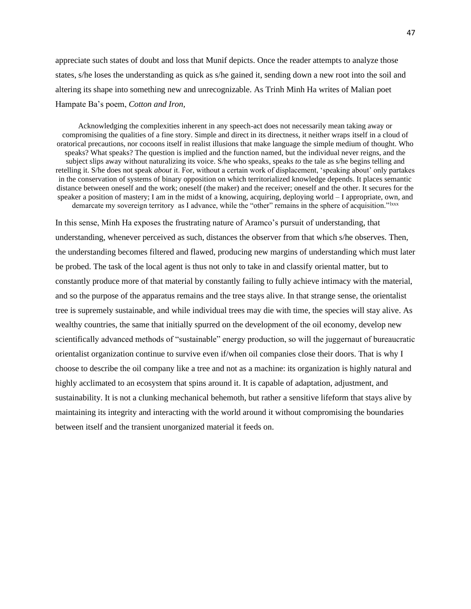appreciate such states of doubt and loss that Munif depicts. Once the reader attempts to analyze those states, s/he loses the understanding as quick as s/he gained it, sending down a new root into the soil and altering its shape into something new and unrecognizable. As Trinh Minh Ha writes of Malian poet Hampate Ba's poem, *Cotton and Iron,* 

Acknowledging the complexities inherent in any speech-act does not necessarily mean taking away or compromising the qualities of a fine story. Simple and direct in its directness, it neither wraps itself in a cloud of oratorical precautions, nor cocoons itself in realist illusions that make language the simple medium of thought. Who speaks? What speaks? The question is implied and the function named, but the individual never reigns, and the subject slips away without naturalizing its voice. S/he who speaks, speaks *to* the tale as s/he begins telling and retelling it. S/he does not speak *about* it. For, without a certain work of displacement, 'speaking about' only partakes in the conservation of systems of binary opposition on which territorialized knowledge depends. It places semantic distance between oneself and the work; oneself (the maker) and the receiver; oneself and the other. It secures for the speaker a position of mastery; I am in the midst of a knowing, acquiring, deploying world – I appropriate, own, and demarcate my sovereign territory as I advance, while the "other" remains in the sphere of acquisition."<sup>Ixxx</sup>

In this sense, Minh Ha exposes the frustrating nature of Aramco's pursuit of understanding, that understanding, whenever perceived as such, distances the observer from that which s/he observes. Then, the understanding becomes filtered and flawed, producing new margins of understanding which must later be probed. The task of the local agent is thus not only to take in and classify oriental matter, but to constantly produce more of that material by constantly failing to fully achieve intimacy with the material, and so the purpose of the apparatus remains and the tree stays alive. In that strange sense, the orientalist tree is supremely sustainable, and while individual trees may die with time, the species will stay alive. As wealthy countries, the same that initially spurred on the development of the oil economy, develop new scientifically advanced methods of "sustainable" energy production, so will the juggernaut of bureaucratic orientalist organization continue to survive even if/when oil companies close their doors. That is why I choose to describe the oil company like a tree and not as a machine: its organization is highly natural and highly acclimated to an ecosystem that spins around it. It is capable of adaptation, adjustment, and sustainability. It is not a clunking mechanical behemoth, but rather a sensitive lifeform that stays alive by maintaining its integrity and interacting with the world around it without compromising the boundaries between itself and the transient unorganized material it feeds on.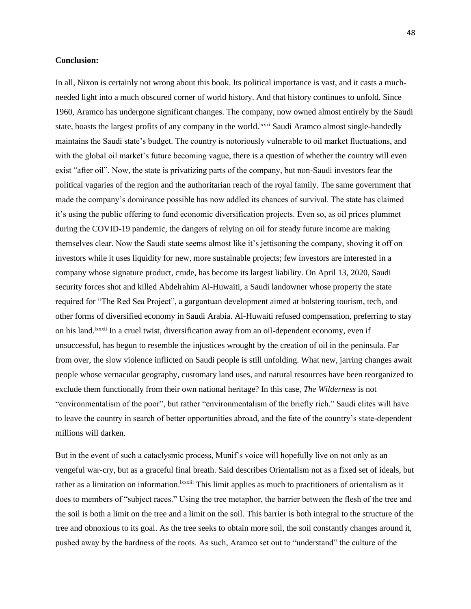## **Conclusion:**

In all, Nixon is certainly not wrong about this book. Its political importance is vast, and it casts a muchneeded light into a much obscured corner of world history. And that history continues to unfold. Since 1960, Aramco has undergone significant changes. The company, now owned almost entirely by the Saudi state, boasts the largest profits of any company in the world.<sup>1xxxi</sup> Saudi Aramco almost single-handedly maintains the Saudi state's budget. The country is notoriously vulnerable to oil market fluctuations, and with the global oil market's future becoming vague, there is a question of whether the country will even exist "after oil". Now, the state is privatizing parts of the company, but non-Saudi investors fear the political vagaries of the region and the authoritarian reach of the royal family. The same government that made the company's dominance possible has now addled its chances of survival. The state has claimed it's using the public offering to fund economic diversification projects. Even so, as oil prices plummet during the COVID-19 pandemic, the dangers of relying on oil for steady future income are making themselves clear. Now the Saudi state seems almost like it's jettisoning the company, shoving it off on investors while it uses liquidity for new, more sustainable projects; few investors are interested in a company whose signature product, crude, has become its largest liability. On April 13, 2020, Saudi security forces shot and killed Abdelrahim Al-Huwaiti, a Saudi landowner whose property the state required for "The Red Sea Project", a gargantuan development aimed at bolstering tourism, tech, and other forms of diversified economy in Saudi Arabia. Al-Huwaiti refused compensation, preferring to stay on his land.lxxxii In a cruel twist, diversification away from an oil-dependent economy, even if unsuccessful, has begun to resemble the injustices wrought by the creation of oil in the peninsula. Far from over, the slow violence inflicted on Saudi people is still unfolding. What new, jarring changes await people whose vernacular geography, customary land uses, and natural resources have been reorganized to exclude them functionally from their own national heritage? In this case, *The Wilderness* is not "environmentalism of the poor", but rather "environmentalism of the briefly rich." Saudi elites will have to leave the country in search of better opportunities abroad, and the fate of the country's state-dependent millions will darken.

But in the event of such a cataclysmic process, Munif's voice will hopefully live on not only as an vengeful war-cry, but as a graceful final breath. Said describes Orientalism not as a fixed set of ideals, but rather as a limitation on information.<sup>Ixxxiii</sup> This limit applies as much to practitioners of orientalism as it does to members of "subject races." Using the tree metaphor, the barrier between the flesh of the tree and the soil is both a limit on the tree and a limit on the soil. This barrier is both integral to the structure of the tree and obnoxious to its goal. As the tree seeks to obtain more soil, the soil constantly changes around it, pushed away by the hardness of the roots. As such, Aramco set out to "understand" the culture of the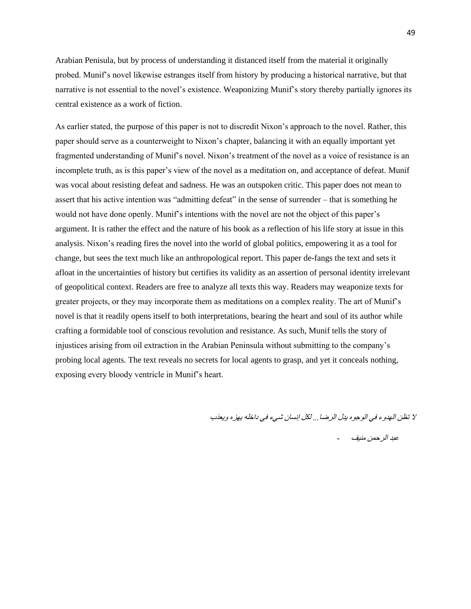Arabian Penisula, but by process of understanding it distanced itself from the material it originally probed. Munif's novel likewise estranges itself from history by producing a historical narrative, but that narrative is not essential to the novel's existence. Weaponizing Munif's story thereby partially ignores its central existence as a work of fiction.

As earlier stated, the purpose of this paper is not to discredit Nixon's approach to the novel. Rather, this paper should serve as a counterweight to Nixon's chapter, balancing it with an equally important yet fragmented understanding of Munif's novel. Nixon's treatment of the novel as a voice of resistance is an incomplete truth, as is this paper's view of the novel as a meditation on, and acceptance of defeat. Munif was vocal about resisting defeat and sadness. He was an outspoken critic. This paper does not mean to assert that his active intention was "admitting defeat" in the sense of surrender – that is something he would not have done openly. Munif's intentions with the novel are not the object of this paper's argument. It is rather the effect and the nature of his book as a reflection of his life story at issue in this analysis. Nixon's reading fires the novel into the world of global politics, empowering it as a tool for change, but sees the text much like an anthropological report. This paper de-fangs the text and sets it afloat in the uncertainties of history but certifies its validity as an assertion of personal identity irrelevant of geopolitical context. Readers are free to analyze all texts this way. Readers may weaponize texts for greater projects, or they may incorporate them as meditations on a complex reality. The art of Munif's novel is that it readily opens itself to both interpretations, bearing the heart and soul of its author while crafting a formidable tool of conscious revolution and resistance. As such, Munif tells the story of injustices arising from oil extraction in the Arabian Peninsula without submitting to the company's probing local agents. The text reveals no secrets for local agents to grasp, and yet it conceals nothing, exposing every bloody ventricle in Munif's heart.

ال تظن الهدوء في الوجوه يدل الرضا... لكل إنسان شيء في داخله يهزه ويعذب

عبد الرحمن منيف -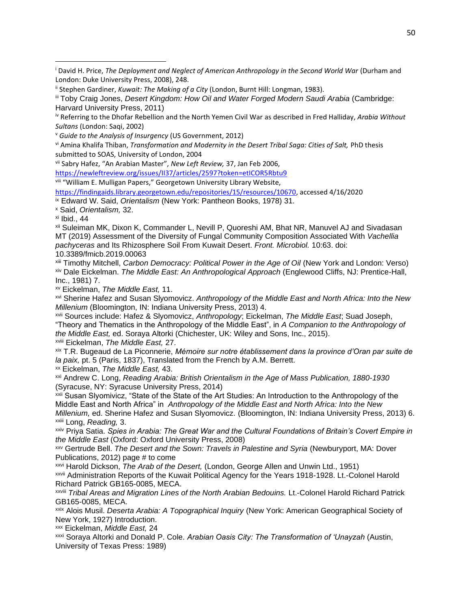vii Sabry Hafez, "An Arabian Master", *New Left Review,* 37, Jan Feb 2006,

<https://newleftreview.org/issues/II37/articles/2597?token=etICOR5Rbtu9>

viii "William E. Mulligan Papers," Georgetown University Library Website,

[https://findingaids.library.georgetown.edu/repositories/15/resources/10670,](https://findingaids.library.georgetown.edu/repositories/15/resources/10670) accessed 4/16/2020 ix Edward W. Said, *Orientalism* (New York: Pantheon Books, 1978) 31.

<sup>x</sup> Said, *Orientalism,* 32.

 $x$ i Ibid., 44

xii Suleiman MK, Dixon K, Commander L, Nevill P, Quoreshi AM, Bhat NR, Manuvel AJ and Sivadasan MT (2019) Assessment of the Diversity of Fungal Community Composition Associated With *Vachellia pachyceras* and Its Rhizosphere Soil From Kuwait Desert. *Front. Microbiol.* 10:63. doi: 10.3389/fmicb.2019.00063

xiii Timothy Mitchell, *Carbon Democracy: Political Power in the Age of Oil* (New York and London: Verso) xiv Dale Eickelman. *The Middle East: An Anthropological Approach* (Englewood Cliffs, NJ: Prentice-Hall, Inc., 1981) 7.

xv Eickelman, *The Middle East,* 11.

xvi Sherine Hafez and Susan Slyomovicz. *Anthropology of the Middle East and North Africa: Into the New Millenium* (Bloomington, IN: Indiana University Press, 2013) 4.

xvii Sources include: Hafez & Slyomovicz, *Anthropology*; Eickelman, *The Middle East*; Suad Joseph, "Theory and Thematics in the Anthropology of the Middle East", in *A Companion to the Anthropology of the Middle East,* ed. Soraya Altorki (Chichester, UK: Wiley and Sons, Inc., 2015). xviii Eickelman, *The Middle East,* 27.

xix T.R. Bugeaud de La Piconnerie, *Mémoire sur notre établissement dans la province d'Oran par suite de la paix,* pt. 5 (Paris, 1837), Translated from the French by A.M. Berrett.

xx Eickelman, *The Middle East,* 43.

xxi Andrew C. Long, *Reading Arabia: British Orientalism in the Age of Mass Publication, 1880-1930*  (Syracuse, NY: Syracuse University Press, 2014)

xxii Susan Slyomivicz, "State of the State of the Art Studies: An Introduction to the Anthropology of the Middle East and North Africa" in *Anthropology of the Middle East and North Africa: Into the New Millenium,* ed. Sherine Hafez and Susan Slyomovicz. (Bloomington, IN: Indiana University Press, 2013) 6. xxiii Long, *Reading,* 3.

xxiv Priya Satia. *Spies in Arabia: The Great War and the Cultural Foundations of Britain's Covert Empire in the Middle East* (Oxford: Oxford University Press, 2008)

xxv Gertrude Bell. *The Desert and the Sown: Travels in Palestine and Syria* (Newburyport, MA: Dover Publications, 2012) page # to come

xxvi Harold Dickson, *The Arab of the Desert,* (London, George Allen and Unwin Ltd., 1951) xxvii Administration Reports of the Kuwait Political Agency for the Years 1918-1928. Lt.-Colonel Harold Richard Patrick GB165-0085, MECA.

xxviii *Tribal Areas and Migration Lines of the North Arabian Bedouins.* Lt.-Colonel Harold Richard Patrick GB165-0085, MECA.

xxix Alois Musil. *Deserta Arabia: A Topographical Inquiry* (New York: American Geographical Society of New York, 1927) Introduction.

xxx Eickelman, *Middle East,* 24

xxxi Soraya Altorki and Donald P. Cole. *Arabian Oasis City: The Transformation of 'Unayzah* (Austin, University of Texas Press: 1989)

<sup>&</sup>lt;sup>i</sup> David H. Price, *The Deployment and Neglect of American Anthropology in the Second World War (Durham and* London: Duke University Press, 2008), 248.

<sup>&</sup>lt;sup>ii</sup> Stephen Gardiner, *Kuwait: The Making of a City* (London, Burnt Hill: Longman, 1983).

iii Toby Craig Jones, *Desert Kingdom: How Oil and Water Forged Modern Saudi Arabia* (Cambridge: Harvard University Press, 2011)

iv Referring to the Dhofar Rebellion and the North Yemen Civil War as described in Fred Halliday, *Arabia Without Sultans* (London: Saqi, 2002)

<sup>v</sup> *Guide to the Analysis of Insurgency* (US Government, 2012)

vi Amina Khalifa Thiban, *Transformation and Modernity in the Desert Tribal Saga: Cities of Salt,* PhD thesis submitted to SOAS, University of London, 2004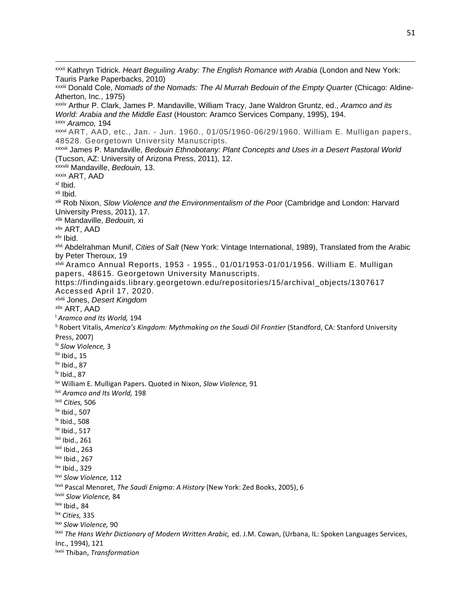xxxii Kathryn Tidrick. *Heart Beguiling Araby: The English Romance with Arabia* (London and New York: Tauris Parke Paperbacks, 2010) xxxiii Donald Cole, *Nomads of the Nomads: The Al Murrah Bedouin of the Empty Quarter* (Chicago: Aldine-Atherton, Inc., 1975) xxxiv Arthur P. Clark, James P. Mandaville, William Tracy, Jane Waldron Gruntz, ed., *Aramco and its World: Arabia and the Middle East* (Houston: Aramco Services Company, 1995), 194. xxxv *Aramco,* 194 xxxvi ART, AAD, etc., Jan. - Jun. 1960., 01/05/1960-06/29/1960. William E. Mulligan papers, 48528. Georgetown University Manuscripts. xxxvii James P. Mandaville, *Bedouin Ethnobotany: Plant Concepts and Uses in a Desert Pastoral World*  (Tucson, AZ: University of Arizona Press, 2011), 12. xxxviii Mandaville, *Bedouin,* 13. xxxix ART, AAD xl Ibid. xli Ibid. xlii Rob Nixon, *Slow Violence and the Environmentalism of the Poor* (Cambridge and London: Harvard University Press, 2011), 17. xliii Mandaville, *Bedouin,* xi xliv ART, AAD xlv Ibid. xlvi Abdelrahman Munif, *Cities of Salt* (New York: Vintage International, 1989), Translated from the Arabic by Peter Theroux, 19 xlvii Aramco Annual Reports, 1953 - 1955., 01/01/1953-01/01/1956. William E. Mulligan papers, 48615. Georgetown University Manuscripts. https://findingaids.library.georgetown.edu/repositories/15/archival\_objects/1307617 Accessed April 17, 2020. xlviii Jones, *Desert Kingdom* xlix ART, AAD <sup>l</sup> *Aramco and Its World,* 194 li Robert Vitalis, *America's Kingdom: Mythmaking on the Saudi Oil Frontier* (Standford, CA: Stanford University Press, 2007) lii *Slow Violence,* 3 liii Ibid.*,* 15 liv Ibid., 87  $\mathsf{b}$  Ibid., 87 lvi William E. Mulligan Papers. Quoted in Nixon, *Slow Violence,* 91 lvii *Aramco and Its World,* 198 lviii *Cities,* 506  $\frac{$ lix Ibid., 507 lx Ibid., 508 lxi Ibid., 517 lxii Ibid., 261 lxiii Ibid., 263  $kiv$  Ibid., 267 lxv Ibid., 329 lxvi *Slow Violence,* 112 lxvii Pascal Menoret, *The Saudi Enigma: A History* (New York: Zed Books, 2005), 6 lxviii *Slow Violence,* 84 lxix Ibid.*,* 84 lxx *Cities,* 335 lxxi *Slow Violence,* 90 lxxii *The Hans Wehr Dictionary of Modern Written Arabic,* ed. J.M. Cowan, (Urbana, IL: Spoken Languages Services, Inc., 1994), 121 lxxiii Thiban, *Transformation*